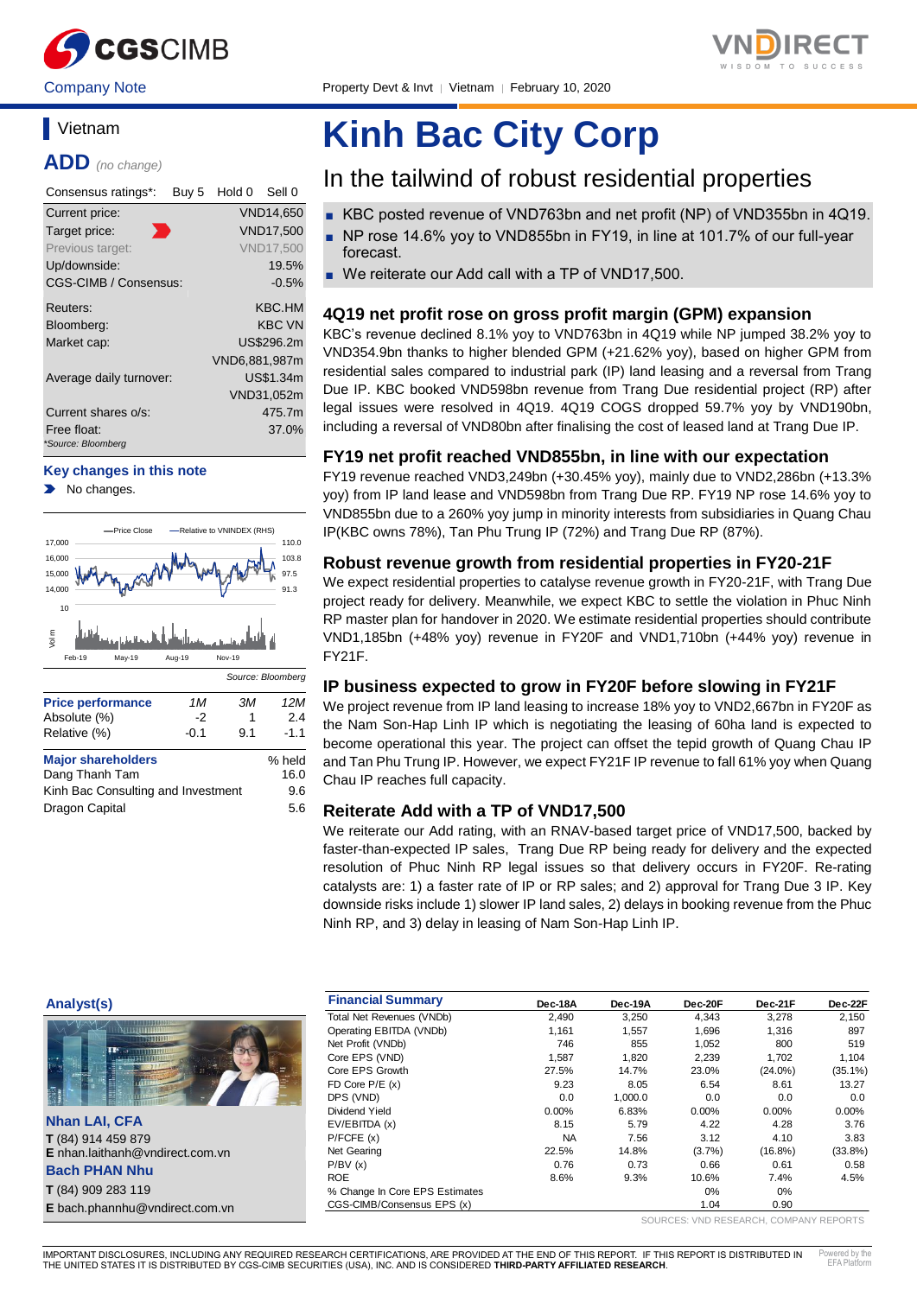



Company Note **Property Devt & Invt** | Vietnam | February 10, 2020

### **Vietnam**

**ADD** *(no change)*

| Consensus ratings*:               | Buy 5 | Hold 0        | Sell 0           |
|-----------------------------------|-------|---------------|------------------|
| Current price:                    |       |               | VND14,650        |
| Target price:                     |       |               | <b>VND17,500</b> |
| Previous target:                  |       |               | <b>VND17,500</b> |
| Up/downside:                      |       |               | 19.5%            |
| CGS-CIMB / Consensus:             |       |               | $-0.5%$          |
| Reuters:                          |       |               | KBC.HM           |
| Bloomberg:                        |       |               | <b>KBC VN</b>    |
| Market cap:                       |       |               | US\$296.2m       |
|                                   |       | VND6,881,987m |                  |
| Average daily turnover:           |       |               | US\$1.34m        |
|                                   |       |               | VND31,052m       |
| Current shares o/s:               |       |               | 475.7m           |
| Free float:<br>*Source: Bloomberg |       |               | 37.0%            |

#### **Key changes in this note**

No changes.



# **Kinh Bac City Corp**

### In the tailwind of robust residential properties

- KBC posted revenue of VND763bn and net profit (NP) of VND355bn in 4Q19.
- NP rose 14.6% yoy to VND855bn in FY19, in line at 101.7% of our full-year forecast.
- We reiterate our Add call with a TP of VND17,500.

#### **4Q19 net profit rose on gross profit margin (GPM) expansion**

KBC's revenue declined 8.1% yoy to VND763bn in 4Q19 while NP jumped 38.2% yoy to VND354.9bn thanks to higher blended GPM (+21.62% yoy), based on higher GPM from residential sales compared to industrial park (IP) land leasing and a reversal from Trang Due IP. KBC booked VND598bn revenue from Trang Due residential project (RP) after legal issues were resolved in 4Q19. 4Q19 COGS dropped 59.7% yoy by VND190bn, including a reversal of VND80bn after finalising the cost of leased land at Trang Due IP.

#### **FY19 net profit reached VND855bn, in line with our expectation**

FY19 revenue reached VND3,249bn (+30.45% yoy), mainly due to VND2,286bn (+13.3% yoy) from IP land lease and VND598bn from Trang Due RP. FY19 NP rose 14.6% yoy to VND855bn due to a 260% yoy jump in minority interests from subsidiaries in Quang Chau IP(KBC owns 78%), Tan Phu Trung IP (72%) and Trang Due RP (87%).

#### **Robust revenue growth from residential properties in FY20-21F**

We expect residential properties to catalyse revenue growth in FY20-21F, with Trang Due project ready for delivery. Meanwhile, we expect KBC to settle the violation in Phuc Ninh RP master plan for handover in 2020. We estimate residential properties should contribute VND1,185bn (+48% yoy) revenue in FY20F and VND1,710bn (+44% yoy) revenue in FY21F.

#### **IP business expected to grow in FY20F before slowing in FY21F**

We project revenue from IP land leasing to increase 18% yoy to VND2,667bn in FY20F as the Nam Son-Hap Linh IP which is negotiating the leasing of 60ha land is expected to become operational this year. The project can offset the tepid growth of Quang Chau IP and Tan Phu Trung IP. However, we expect FY21F IP revenue to fall 61% yoy when Quang Chau IP reaches full capacity.

#### **Reiterate Add with a TP of VND17,500**

We reiterate our Add rating, with an RNAV-based target price of VND17,500, backed by faster-than-expected IP sales, Trang Due RP being ready for delivery and the expected resolution of Phuc Ninh RP legal issues so that delivery occurs in FY20F. Re-rating catalysts are: 1) a faster rate of IP or RP sales; and 2) approval for Trang Due 3 IP. Key downside risks include 1) slower IP land sales, 2) delays in booking revenue from the Phuc Ninh RP, and 3) delay in leasing of Nam Son-Hap Linh IP.

#### **Analyst(s)**



**Nhan LAI, CFA T** (84) 914 459 879 **E** nhan.laithanh@vndirect.com.vn

**Bach PHAN Nhu T** (84) 909 283 119

**E** bach.phannhu@vndirect.com.vn

| <b>Financial Summary</b>       | Dec-18A   | Dec-19A | Dec-20F   | Dec-21F    | Dec-22F    |
|--------------------------------|-----------|---------|-----------|------------|------------|
| Total Net Revenues (VNDb)      | 2.490     | 3,250   | 4,343     | 3,278      | 2,150      |
| Operating EBITDA (VNDb)        | 1,161     | 1.557   | 1.696     | 1.316      | 897        |
| Net Profit (VNDb)              | 746       | 855     | 1,052     | 800        | 519        |
| Core EPS (VND)                 | 1.587     | 1,820   | 2,239     | 1.702      | 1,104      |
| Core EPS Growth                | 27.5%     | 14.7%   | 23.0%     | $(24.0\%)$ | $(35.1\%)$ |
| FD Core $P/E(x)$               | 9.23      | 8.05    | 6.54      | 8.61       | 13.27      |
| DPS (VND)                      | 0.0       | 1,000.0 | 0.0       | 0.0        | 0.0        |
| Dividend Yield                 | $0.00\%$  | 6.83%   | $0.00\%$  | $0.00\%$   | 0.00%      |
| EV/EBITDA (x)                  | 8.15      | 5.79    | 4.22      | 4.28       | 3.76       |
| P/FCFE(x)                      | <b>NA</b> | 7.56    | 3.12      | 4.10       | 3.83       |
| Net Gearing                    | 22.5%     | 14.8%   | $(3.7\%)$ | $(16.8\%)$ | $(33.8\%)$ |
| P/BV(x)                        | 0.76      | 0.73    | 0.66      | 0.61       | 0.58       |
| <b>ROE</b>                     | 8.6%      | 9.3%    | 10.6%     | 7.4%       | 4.5%       |
| % Change In Core EPS Estimates |           |         | 0%        | 0%         |            |
| CGS-CIMB/Consensus EPS (x)     |           |         | 1.04      | 0.90       |            |

SOURCES: VND RESEARCH, COMPANY REPORTS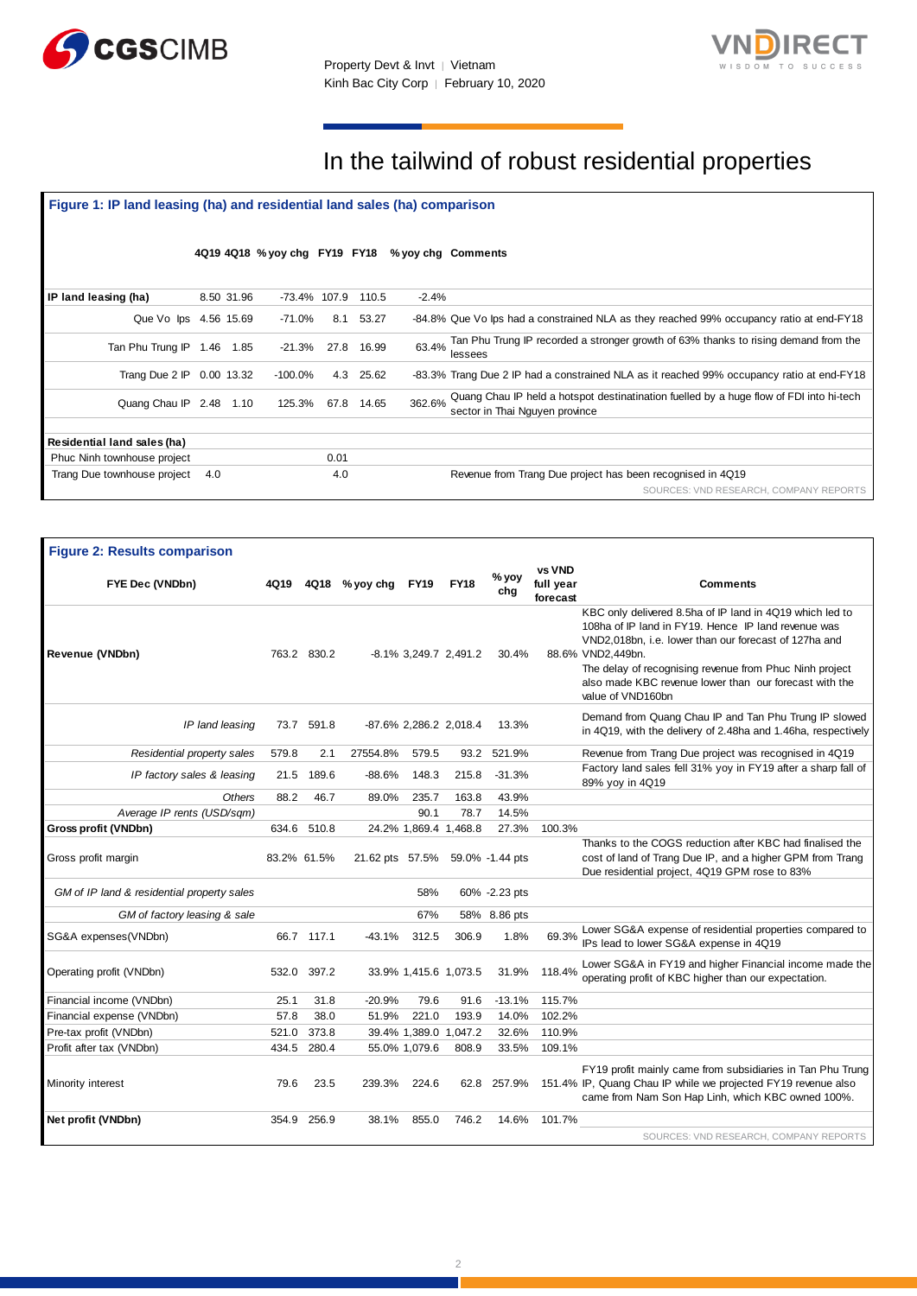



## In the tailwind of robust residential properties

### **Figure 1: IP land leasing (ha) and residential land sales (ha) comparison**  SOURCES: VND RESEARCH, COMPANY REPORTS **4Q19 4Q18 % yoy chg FY19 FY18 % yoy chg Comments IP land leasing (ha)** 8.50 31.96 -73.4% 107.9 110.5 -2.4% Que Vo Ips 4.56 15.69 -71.0% 8.1 53.27 -84.8% Que Vo Ips had a constrained NLA as they reached 99% occupancy ratio at end-FY18 Tan Phu Trung IP 1.46 1.85 -21.3% 27.8 16.99 63.4% Tan Phu Trung IP recorded a stronger growth of 63% thanks to rising demand from the lessees Trang Due 2 IP 0.00 13.32 -100.0% 4.3 25.62 -83.3% Trang Due 2 IP had a constrained NLA as it reached 99% occupancy ratio at end-FY18 Quang Chau IP 2.48 1.10 125.3% 67.8 14.65 362.6% Quang Chau IP held a hotspot destinatination fuelled by a huge flow of FDI into hi-tech sector in Thai Nguyen province **Residential land sales (ha)** Phuc Ninh townhouse project 0.01 Trang Due townhouse project 4.0 4.0 Revenue from Trang Due project has been recognised in 4Q19

| <b>Figure 2: Results comparison</b>        |       |             |                                 |                       |                        |               |                                 |                                                                                                                                                                                                                                                                                                                                         |
|--------------------------------------------|-------|-------------|---------------------------------|-----------------------|------------------------|---------------|---------------------------------|-----------------------------------------------------------------------------------------------------------------------------------------------------------------------------------------------------------------------------------------------------------------------------------------------------------------------------------------|
| FYE Dec (VNDbn)                            | 4Q19  |             | 4Q18 % yoy chg                  | <b>FY19</b>           | <b>FY18</b>            | % yoy<br>chg  | vs VND<br>full year<br>forecast | <b>Comments</b>                                                                                                                                                                                                                                                                                                                         |
| Revenue (VNDbn)                            |       | 763.2 830.2 |                                 |                       | -8.1% 3,249.7 2,491.2  | 30.4%         |                                 | KBC only delivered 8.5ha of IP land in 4Q19 which led to<br>108ha of IP land in FY19. Hence IP land revenue was<br>VND2,018bn, i.e. lower than our forecast of 127ha and<br>88.6% VND2,449bn.<br>The delay of recognising revenue from Phuc Ninh project<br>also made KBC revenue lower than our forecast with the<br>value of VND160bn |
| IP land leasing                            |       | 73.7 591.8  |                                 |                       | -87.6% 2,286.2 2,018.4 | 13.3%         |                                 | Demand from Quang Chau IP and Tan Phu Trung IP slowed<br>in 4Q19, with the delivery of 2.48ha and 1.46ha, respectively                                                                                                                                                                                                                  |
| Residential property sales                 | 579.8 | 2.1         | 27554.8%                        | 579.5                 | 93.2                   | 521.9%        |                                 | Revenue from Trang Due project was recognised in 4Q19                                                                                                                                                                                                                                                                                   |
| IP factory sales & leasing                 | 21.5  | 189.6       | $-88.6%$                        | 148.3                 | 215.8                  | $-31.3%$      |                                 | Factory land sales fell 31% yoy in FY19 after a sharp fall of<br>89% yoy in 4Q19                                                                                                                                                                                                                                                        |
| <b>Others</b>                              | 88.2  | 46.7        | 89.0%                           | 235.7                 | 163.8                  | 43.9%         |                                 |                                                                                                                                                                                                                                                                                                                                         |
| Average IP rents (USD/sqm)                 |       |             |                                 | 90.1                  | 78.7                   | 14.5%         |                                 |                                                                                                                                                                                                                                                                                                                                         |
| Gross profit (VNDbn)                       | 634.6 | 510.8       |                                 |                       | 24.2% 1,869.4 1,468.8  | 27.3%         | 100.3%                          |                                                                                                                                                                                                                                                                                                                                         |
| Gross profit margin                        |       | 83.2% 61.5% | 21.62 pts 57.5% 59.0% -1.44 pts |                       |                        |               |                                 | Thanks to the COGS reduction after KBC had finalised the<br>cost of land of Trang Due IP, and a higher GPM from Trang<br>Due residential project, 4Q19 GPM rose to 83%                                                                                                                                                                  |
| GM of IP land & residential property sales |       |             |                                 | 58%                   |                        | 60% -2.23 pts |                                 |                                                                                                                                                                                                                                                                                                                                         |
| GM of factory leasing & sale               |       |             |                                 | 67%                   |                        | 58% 8.86 pts  |                                 |                                                                                                                                                                                                                                                                                                                                         |
| SG&A expenses(VNDbn)                       |       | 66.7 117.1  | -43.1%                          | 312.5                 | 306.9                  | 1.8%          | 69.3%                           | Lower SG&A expense of residential properties compared to<br>IPs lead to lower SG&A expense in 4Q19                                                                                                                                                                                                                                      |
| Operating profit (VNDbn)                   | 532.0 | 397.2       |                                 | 33.9% 1,415.6 1,073.5 |                        | 31.9%         | 118.4%                          | Lower SG&A in FY19 and higher Financial income made the<br>operating profit of KBC higher than our expectation.                                                                                                                                                                                                                         |
| Financial income (VNDbn)                   | 25.1  | 31.8        | $-20.9%$                        | 79.6                  | 91.6                   | $-13.1%$      | 115.7%                          |                                                                                                                                                                                                                                                                                                                                         |
| Financial expense (VNDbn)                  | 57.8  | 38.0        | 51.9%                           | 221.0                 | 193.9                  | 14.0%         | 102.2%                          |                                                                                                                                                                                                                                                                                                                                         |
| Pre-tax profit (VNDbn)                     | 521.0 | 373.8       |                                 |                       | 39.4% 1,389.0 1,047.2  | 32.6%         | 110.9%                          |                                                                                                                                                                                                                                                                                                                                         |
| Profit after tax (VNDbn)                   | 434.5 | 280.4       |                                 | 55.0% 1,079.6         | 808.9                  | 33.5%         | 109.1%                          |                                                                                                                                                                                                                                                                                                                                         |
| Minority interest                          | 79.6  | 23.5        | 239.3%                          | 224.6                 |                        | 62.8 257.9%   |                                 | FY19 profit mainly came from subsidiaries in Tan Phu Trung<br>151.4% IP, Quang Chau IP while we projected FY19 revenue also<br>came from Nam Son Hap Linh, which KBC owned 100%.                                                                                                                                                        |
| Net profit (VNDbn)                         | 354.9 | 256.9       | 38.1%                           | 855.0                 | 746.2                  | 14.6%         | 101.7%                          | SOURCES: VND RESEARCH, COMPANY REPORTS                                                                                                                                                                                                                                                                                                  |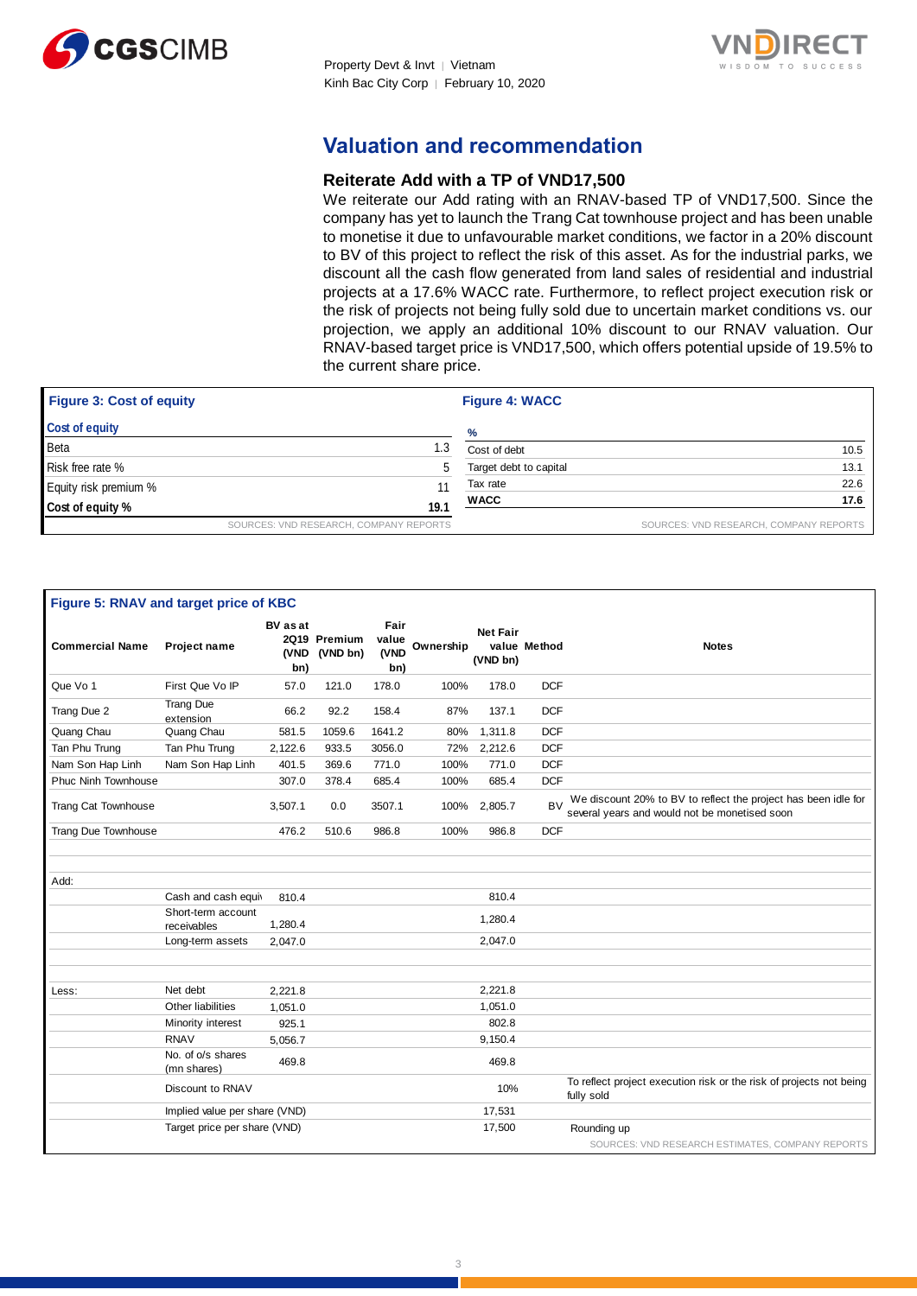



### **Valuation and recommendation**

#### **Reiterate Add with a TP of VND17,500**

We reiterate our Add rating with an RNAV-based TP of VND17,500. Since the company has yet to launch the Trang Cat townhouse project and has been unable to monetise it due to unfavourable market conditions, we factor in a 20% discount to BV of this project to reflect the risk of this asset. As for the industrial parks, we discount all the cash flow generated from land sales of residential and industrial projects at a 17.6% WACC rate. Furthermore, to reflect project execution risk or the risk of projects not being fully sold due to uncertain market conditions vs. our projection, we apply an additional 10% discount to our RNAV valuation. Our RNAV-based target price is VND17,500, which offers potential upside of 19.5% to the current share price.

| <b>Figure 3: Cost of equity</b> |                                        | <b>Figure 4: WACC</b>  |                                        |  |
|---------------------------------|----------------------------------------|------------------------|----------------------------------------|--|
| <b>Cost of equity</b>           |                                        | %                      |                                        |  |
| Beta                            | 1.3                                    | Cost of debt           | 10.5                                   |  |
| Risk free rate %                | 5                                      | Target debt to capital | 13.1                                   |  |
| Equity risk premium %           | 11                                     | Tax rate               | 22.6                                   |  |
| Cost of equity %                | 19.1                                   | <b>WACC</b>            | 17.6                                   |  |
|                                 | SOURCES: VND RESEARCH, COMPANY REPORTS |                        | SOURCES: VND RESEARCH, COMPANY REPORTS |  |

| Figure 5: RNAV and target price of KBC |                                   |                                |                          |                              |           |                             |              |                                                                                                                 |
|----------------------------------------|-----------------------------------|--------------------------------|--------------------------|------------------------------|-----------|-----------------------------|--------------|-----------------------------------------------------------------------------------------------------------------|
| <b>Commercial Name</b>                 | Project name                      | <b>BV</b> as at<br>(VND<br>bn) | 2Q19 Premium<br>(VND bn) | Fair<br>value<br>(VND<br>bn) | Ownership | <b>Net Fair</b><br>(VND bn) | value Method | <b>Notes</b>                                                                                                    |
| Que Vo 1                               | First Que Vo IP                   | 57.0                           | 121.0                    | 178.0                        | 100%      | 178.0                       | <b>DCF</b>   |                                                                                                                 |
| Trang Due 2                            | <b>Trang Due</b><br>extension     | 66.2                           | 92.2                     | 158.4                        | 87%       | 137.1                       | <b>DCF</b>   |                                                                                                                 |
| Quang Chau                             | Quang Chau                        | 581.5                          | 1059.6                   | 1641.2                       | 80%       | 1,311.8                     | <b>DCF</b>   |                                                                                                                 |
| Tan Phu Trung                          | Tan Phu Trung                     | 2,122.6                        | 933.5                    | 3056.0                       | 72%       | 2,212.6                     | <b>DCF</b>   |                                                                                                                 |
| Nam Son Hap Linh                       | Nam Son Hap Linh                  | 401.5                          | 369.6                    | 771.0                        | 100%      | 771.0                       | <b>DCF</b>   |                                                                                                                 |
| <b>Phuc Ninh Townhouse</b>             |                                   | 307.0                          | 378.4                    | 685.4                        | 100%      | 685.4                       | <b>DCF</b>   |                                                                                                                 |
| <b>Trang Cat Townhouse</b>             |                                   | 3.507.1                        | 0.0                      | 3507.1                       | 100%      | 2,805.7                     | <b>BV</b>    | We discount 20% to BV to reflect the project has been idle for<br>several years and would not be monetised soon |
| Trang Due Townhouse                    |                                   | 476.2                          | 510.6                    | 986.8                        | 100%      | 986.8                       | <b>DCF</b>   |                                                                                                                 |
|                                        |                                   |                                |                          |                              |           |                             |              |                                                                                                                 |
| Add:                                   |                                   |                                |                          |                              |           |                             |              |                                                                                                                 |
|                                        | Cash and cash equiv               | 810.4                          |                          |                              |           | 810.4                       |              |                                                                                                                 |
|                                        | Short-term account<br>receivables | 1,280.4                        |                          |                              |           | 1,280.4                     |              |                                                                                                                 |
|                                        | Long-term assets                  | 2,047.0                        |                          |                              |           | 2,047.0                     |              |                                                                                                                 |
|                                        |                                   |                                |                          |                              |           |                             |              |                                                                                                                 |
| Less:                                  | Net debt                          | 2.221.8                        |                          |                              |           | 2,221.8                     |              |                                                                                                                 |
|                                        | Other liabilities                 | 1,051.0                        |                          |                              |           | 1,051.0                     |              |                                                                                                                 |
|                                        | Minority interest                 | 925.1                          |                          |                              |           | 802.8                       |              |                                                                                                                 |
|                                        | <b>RNAV</b>                       | 5,056.7                        |                          |                              |           | 9,150.4                     |              |                                                                                                                 |
|                                        | No. of o/s shares<br>(mn shares)  | 469.8                          |                          |                              |           | 469.8                       |              |                                                                                                                 |
|                                        | Discount to RNAV                  |                                |                          |                              |           | 10%                         |              | To reflect project execution risk or the risk of projects not being<br>fully sold                               |
|                                        | Implied value per share (VND)     |                                |                          |                              |           | 17,531                      |              |                                                                                                                 |
|                                        | Target price per share (VND)      |                                |                          |                              |           | 17,500                      |              | Rounding up                                                                                                     |
|                                        |                                   |                                |                          |                              |           |                             |              | SOURCES: VND RESEARCH ESTIMATES, COMPANY REPORTS                                                                |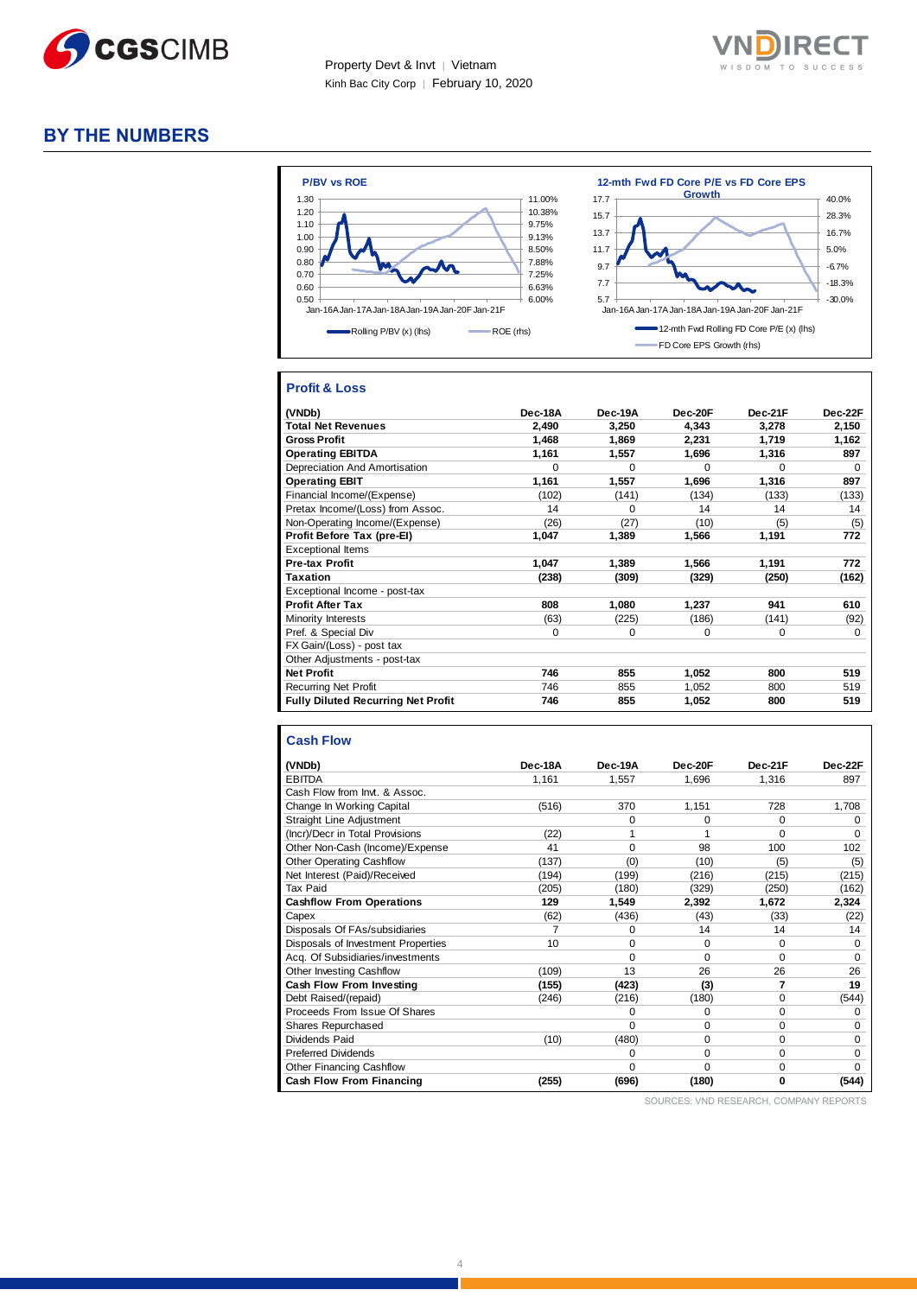



### **BY THE NUMBERS**



#### **Profit & Loss**

| (VNDb)                                    | Dec-18A  | Dec-19A  | Dec-20F  | Dec-21F  | Dec-22F  |
|-------------------------------------------|----------|----------|----------|----------|----------|
| <b>Total Net Revenues</b>                 | 2,490    | 3,250    | 4,343    | 3,278    | 2,150    |
| <b>Gross Profit</b>                       | 1.468    | 1.869    | 2.231    | 1.719    | 1.162    |
| <b>Operating EBITDA</b>                   | 1,161    | 1,557    | 1,696    | 1,316    | 897      |
| Depreciation And Amortisation             | $\Omega$ | $\Omega$ | $\Omega$ | $\Omega$ | $\Omega$ |
| <b>Operating EBIT</b>                     | 1,161    | 1,557    | 1,696    | 1,316    | 897      |
| Financial Income/(Expense)                | (102)    | (141)    | (134)    | (133)    | (133)    |
| Pretax Income/(Loss) from Assoc.          | 14       | $\Omega$ | 14       | 14       | 14       |
| Non-Operating Income/(Expense)            | (26)     | (27)     | (10)     | (5)      | (5)      |
| Profit Before Tax (pre-El)                | 1,047    | 1,389    | 1,566    | 1,191    | 772      |
| <b>Exceptional Items</b>                  |          |          |          |          |          |
| <b>Pre-tax Profit</b>                     | 1.047    | 1,389    | 1,566    | 1,191    | 772      |
| <b>Taxation</b>                           | (238)    | (309)    | (329)    | (250)    | (162)    |
| Exceptional Income - post-tax             |          |          |          |          |          |
| <b>Profit After Tax</b>                   | 808      | 1,080    | 1,237    | 941      | 610      |
| Minority Interests                        | (63)     | (225)    | (186)    | (141)    | (92)     |
| Pref. & Special Div                       | $\Omega$ | $\Omega$ | 0        | $\Omega$ | $\Omega$ |
| FX Gain/(Loss) - post tax                 |          |          |          |          |          |
| Other Adjustments - post-tax              |          |          |          |          |          |
| <b>Net Profit</b>                         | 746      | 855      | 1,052    | 800      | 519      |
| <b>Recurring Net Profit</b>               | 746      | 855      | 1,052    | 800      | 519      |
| <b>Fully Diluted Recurring Net Profit</b> | 746      | 855      | 1,052    | 800      | 519      |

#### **Cash Flow**

| (VNDb)                             | Dec-18A | Dec-19A  | Dec-20F  | Dec-21F  | Dec-22F  |
|------------------------------------|---------|----------|----------|----------|----------|
| <b>EBITDA</b>                      | 1,161   | 1,557    | 1,696    | 1,316    | 897      |
| Cash Flow from Invt. & Assoc.      |         |          |          |          |          |
| Change In Working Capital          | (516)   | 370      | 1,151    | 728      | 1,708    |
| Straight Line Adjustment           |         | 0        | 0        | $\Omega$ | 0        |
| (Incr)/Decr in Total Provisions    | (22)    |          | 1        | $\Omega$ | $\Omega$ |
| Other Non-Cash (Income)/Expense    | 41      | $\Omega$ | 98       | 100      | 102      |
| <b>Other Operating Cashflow</b>    | (137)   | (0)      | (10)     | (5)      | (5)      |
| Net Interest (Paid)/Received       | (194)   | (199)    | (216)    | (215)    | (215)    |
| Tax Paid                           | (205)   | (180)    | (329)    | (250)    | (162)    |
| <b>Cashflow From Operations</b>    | 129     | 1,549    | 2,392    | 1,672    | 2,324    |
| Capex                              | (62)    | (436)    | (43)     | (33)     | (22)     |
| Disposals Of FAs/subsidiaries      |         | 0        | 14       | 14       | 14       |
| Disposals of Investment Properties | 10      | $\Omega$ | $\Omega$ | $\Omega$ | $\Omega$ |
| Acg. Of Subsidiaries/investments   |         | $\Omega$ | 0        | $\Omega$ | 0        |
| Other Investing Cashflow           | (109)   | 13       | 26       | 26       | 26       |
| Cash Flow From Investing           | (155)   | (423)    | (3)      | 7        | 19       |
| Debt Raised/(repaid)               | (246)   | (216)    | (180)    | $\Omega$ | (544)    |
| Proceeds From Issue Of Shares      |         | $\Omega$ | 0        | $\Omega$ | 0        |
| <b>Shares Repurchased</b>          |         | $\Omega$ | $\Omega$ | $\Omega$ | $\Omega$ |
| Dividends Paid                     | (10)    | (480)    | 0        | $\Omega$ | 0        |
| <b>Preferred Dividends</b>         |         | $\Omega$ | $\Omega$ | $\Omega$ | $\Omega$ |
| <b>Other Financing Cashflow</b>    |         | $\Omega$ | $\Omega$ | $\Omega$ | $\Omega$ |
| Cash Flow From Financing           | (255)   | (696)    | (180)    | 0        | (544)    |

SOURCES: VND RESEARCH, COMPANY REPORTS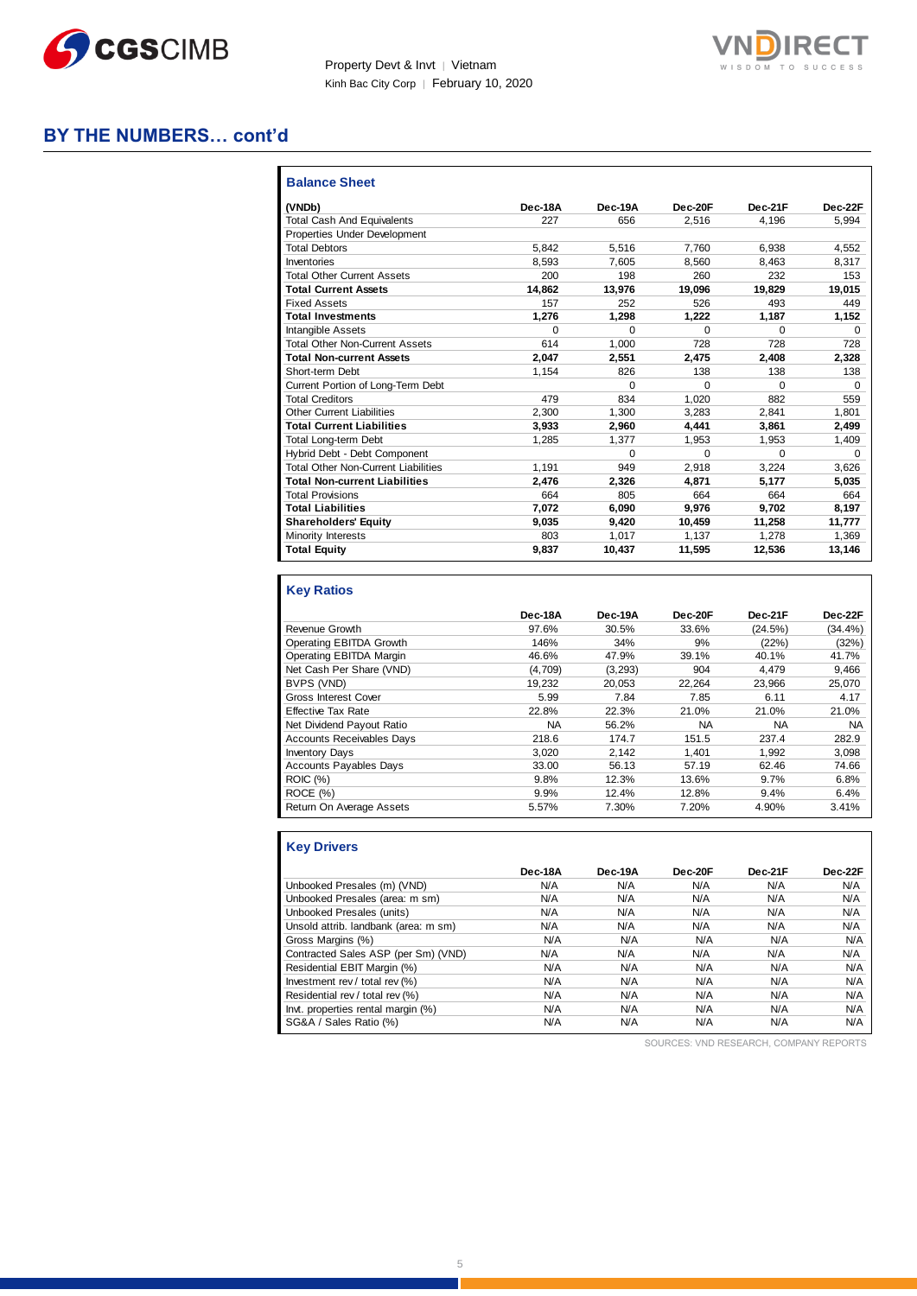



#### **BY THE NUMBERS… cont'd**

| <b>Balance Sheet</b>                       |         |          |          |          |          |
|--------------------------------------------|---------|----------|----------|----------|----------|
| (VNDb)                                     | Dec-18A | Dec-19A  | Dec-20F  | Dec-21F  | Dec-22F  |
| <b>Total Cash And Equivalents</b>          | 227     | 656      | 2.516    | 4.196    | 5.994    |
| Properties Under Development               |         |          |          |          |          |
| <b>Total Debtors</b>                       | 5.842   | 5.516    | 7.760    | 6.938    | 4.552    |
| Inventories                                | 8.593   | 7.605    | 8.560    | 8.463    | 8,317    |
| <b>Total Other Current Assets</b>          | 200     | 198      | 260      | 232      | 153      |
| <b>Total Current Assets</b>                | 14,862  | 13.976   | 19,096   | 19.829   | 19,015   |
| <b>Fixed Assets</b>                        | 157     | 252      | 526      | 493      | 449      |
| <b>Total Investments</b>                   | 1,276   | 1,298    | 1,222    | 1,187    | 1,152    |
| <b>Intangible Assets</b>                   | 0       | $\Omega$ | $\Omega$ | $\Omega$ | $\Omega$ |
| <b>Total Other Non-Current Assets</b>      | 614     | 1.000    | 728      | 728      | 728      |
| <b>Total Non-current Assets</b>            | 2.047   | 2.551    | 2.475    | 2.408    | 2,328    |
| Short-term Debt                            | 1.154   | 826      | 138      | 138      | 138      |
| Current Portion of Long-Term Debt          |         | $\Omega$ | $\Omega$ | $\Omega$ | $\Omega$ |
| <b>Total Creditors</b>                     | 479     | 834      | 1.020    | 882      | 559      |
| <b>Other Current Liabilities</b>           | 2.300   | 1.300    | 3,283    | 2.841    | 1.801    |
| <b>Total Current Liabilities</b>           | 3,933   | 2,960    | 4,441    | 3,861    | 2,499    |
| <b>Total Long-term Debt</b>                | 1,285   | 1.377    | 1,953    | 1,953    | 1,409    |
| Hybrid Debt - Debt Component               |         | $\Omega$ | $\Omega$ | $\Omega$ | $\Omega$ |
| <b>Total Other Non-Current Liabilities</b> | 1.191   | 949      | 2.918    | 3.224    | 3,626    |
| <b>Total Non-current Liabilities</b>       | 2.476   | 2.326    | 4.871    | 5,177    | 5,035    |
| <b>Total Provisions</b>                    | 664     | 805      | 664      | 664      | 664      |
| <b>Total Liabilities</b>                   | 7.072   | 6.090    | 9.976    | 9.702    | 8,197    |
| <b>Shareholders' Equity</b>                | 9,035   | 9,420    | 10,459   | 11,258   | 11,777   |
| Minority Interests                         | 803     | 1,017    | 1,137    | 1.278    | 1,369    |
| <b>Total Equity</b>                        | 9,837   | 10,437   | 11,595   | 12,536   | 13,146   |

#### **Key Ratios**

|                                  | Dec-18A | Dec-19A | Dec-20F   | Dec-21F   | Dec-22F    |
|----------------------------------|---------|---------|-----------|-----------|------------|
| Revenue Growth                   | 97.6%   | 30.5%   | 33.6%     | (24.5%)   | $(34.4\%)$ |
| Operating EBITDA Growth          | 146%    | 34%     | 9%        | (22%)     | (32%)      |
| Operating EBITDA Margin          | 46.6%   | 47.9%   | 39.1%     | 40.1%     | 41.7%      |
| Net Cash Per Share (VND)         | (4,709) | (3,293) | 904       | 4.479     | 9,466      |
| BVPS (VND)                       | 19.232  | 20.053  | 22.264    | 23.966    | 25.070     |
| Gross Interest Cover             | 5.99    | 7.84    | 7.85      | 6.11      | 4.17       |
| <b>Effective Tax Rate</b>        | 22.8%   | 22.3%   | 21.0%     | 21.0%     | 21.0%      |
| Net Dividend Payout Ratio        | NA      | 56.2%   | <b>NA</b> | <b>NA</b> | <b>NA</b>  |
| <b>Accounts Receivables Days</b> | 218.6   | 174.7   | 151.5     | 237.4     | 282.9      |
| <b>Inventory Days</b>            | 3.020   | 2.142   | 1.401     | 1.992     | 3.098      |
| <b>Accounts Payables Days</b>    | 33.00   | 56.13   | 57.19     | 62.46     | 74.66      |
| <b>ROIC (%)</b>                  | 9.8%    | 12.3%   | 13.6%     | 9.7%      | 6.8%       |
| ROCE (%)                         | 9.9%    | 12.4%   | 12.8%     | 9.4%      | 6.4%       |
| Return On Average Assets         | 5.57%   | 7.30%   | 7.20%     | 4.90%     | 3.41%      |

### **Key Drivers**

|                                      | Dec-18A | Dec-19A | Dec-20F | Dec-21F | Dec-22F |
|--------------------------------------|---------|---------|---------|---------|---------|
| Unbooked Presales (m) (VND)          | N/A     | N/A     | N/A     | N/A     | N/A     |
| Unbooked Presales (area: m sm)       | N/A     | N/A     | N/A     | N/A     | N/A     |
| Unbooked Presales (units)            | N/A     | N/A     | N/A     | N/A     | N/A     |
| Unsold attrib. landbank (area: m sm) | N/A     | N/A     | N/A     | N/A     | N/A     |
| Gross Margins (%)                    | N/A     | N/A     | N/A     | N/A     | N/A     |
| Contracted Sales ASP (per Sm) (VND)  | N/A     | N/A     | N/A     | N/A     | N/A     |
| Residential EBIT Margin (%)          | N/A     | N/A     | N/A     | N/A     | N/A     |
| Investment rev / total rev (%)       | N/A     | N/A     | N/A     | N/A     | N/A     |
| Residential rev / total rev (%)      | N/A     | N/A     | N/A     | N/A     | N/A     |
| Invt. properties rental margin (%)   | N/A     | N/A     | N/A     | N/A     | N/A     |
| SG&A / Sales Ratio (%)               | N/A     | N/A     | N/A     | N/A     | N/A     |

SOURCES: VND RESEARCH, COMPANY REPORTS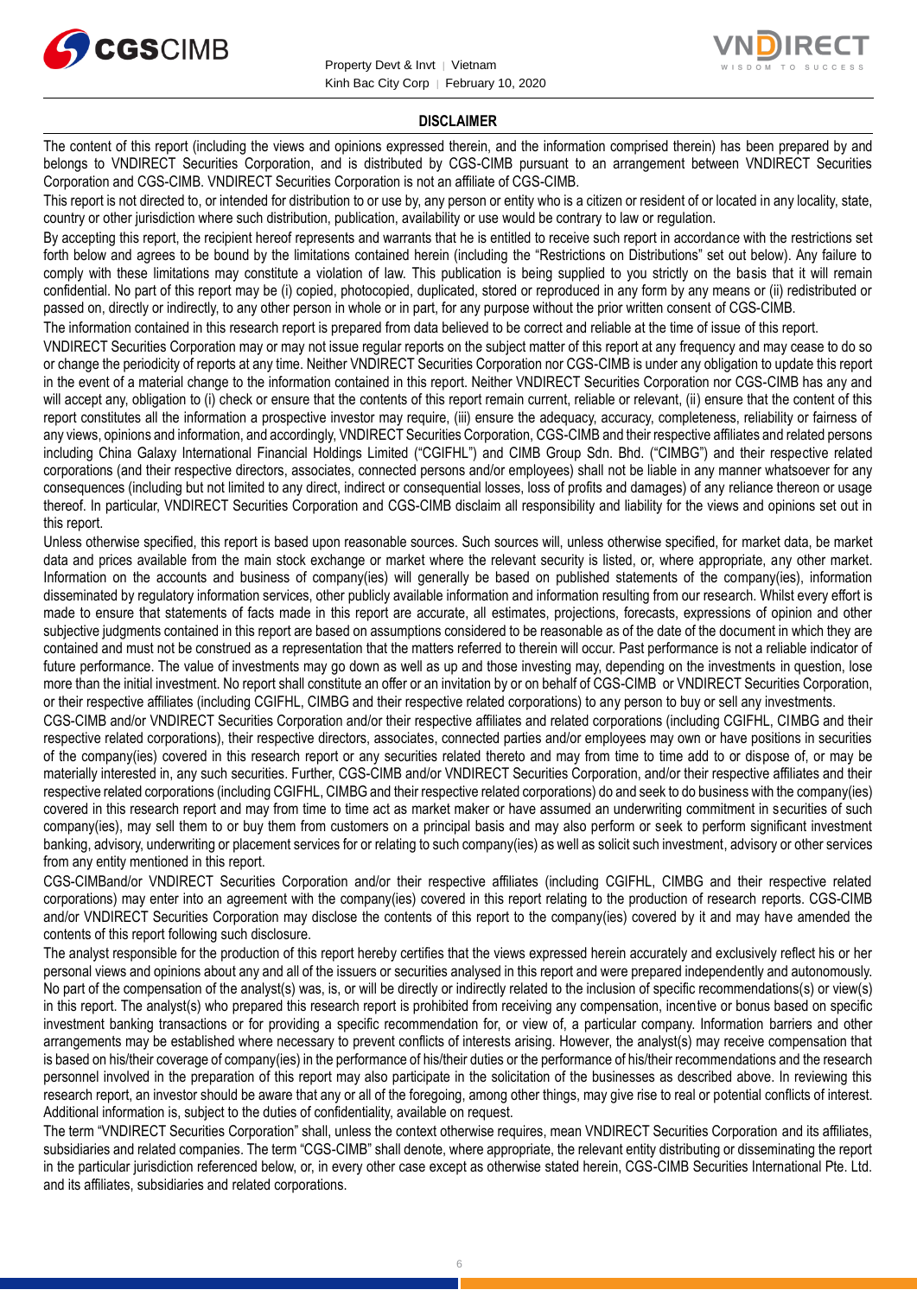



#### **DISCLAIMER**

The content of this report (including the views and opinions expressed therein, and the information comprised therein) has been prepared by and belongs to VNDIRECT Securities Corporation, and is distributed by CGS-CIMB pursuant to an arrangement between VNDIRECT Securities Corporation and CGS-CIMB. VNDIRECT Securities Corporation is not an affiliate of CGS-CIMB.

This report is not directed to, or intended for distribution to or use by, any person or entity who is a citizen or resident of or located in any locality, state, country or other jurisdiction where such distribution, publication, availability or use would be contrary to law or regulation.

By accepting this report, the recipient hereof represents and warrants that he is entitled to receive such report in accordance with the restrictions set forth below and agrees to be bound by the limitations contained herein (including the "Restrictions on Distributions" set out below). Any failure to comply with these limitations may constitute a violation of law. This publication is being supplied to you strictly on the basis that it will remain confidential. No part of this report may be (i) copied, photocopied, duplicated, stored or reproduced in any form by any means or (ii) redistributed or passed on, directly or indirectly, to any other person in whole or in part, for any purpose without the prior written consent of CGS-CIMB.

The information contained in this research report is prepared from data believed to be correct and reliable at the time of issue of this report.

VNDIRECT Securities Corporation may or may not issue regular reports on the subject matter of this report at any frequency and may cease to do so or change the periodicity of reports at any time. Neither VNDIRECT Securities Corporation nor CGS-CIMB is under any obligation to update this report in the event of a material change to the information contained in this report. Neither VNDIRECT Securities Corporation nor CGS-CIMB has any and will accept any, obligation to (i) check or ensure that the contents of this report remain current, reliable or relevant, (ii) ensure that the content of this report constitutes all the information a prospective investor may require, (iii) ensure the adequacy, accuracy, completeness, reliability or fairness of any views, opinions and information, and accordingly, VNDIRECT Securities Corporation, CGS-CIMB and their respective affiliates and related persons including China Galaxy International Financial Holdings Limited ("CGIFHL") and CIMB Group Sdn. Bhd. ("CIMBG") and their respective related corporations (and their respective directors, associates, connected persons and/or employees) shall not be liable in any manner whatsoever for any consequences (including but not limited to any direct, indirect or consequential losses, loss of profits and damages) of any reliance thereon or usage thereof. In particular, VNDIRECT Securities Corporation and CGS-CIMB disclaim all responsibility and liability for the views and opinions set out in this report.

Unless otherwise specified, this report is based upon reasonable sources. Such sources will, unless otherwise specified, for market data, be market data and prices available from the main stock exchange or market where the relevant security is listed, or, where appropriate, any other market. Information on the accounts and business of company(ies) will generally be based on published statements of the company(ies), information disseminated by regulatory information services, other publicly available information and information resulting from our research. Whilst every effort is made to ensure that statements of facts made in this report are accurate, all estimates, projections, forecasts, expressions of opinion and other subjective judgments contained in this report are based on assumptions considered to be reasonable as of the date of the document in which they are contained and must not be construed as a representation that the matters referred to therein will occur. Past performance is not a reliable indicator of future performance. The value of investments may go down as well as up and those investing may, depending on the investments in question, lose more than the initial investment. No report shall constitute an offer or an invitation by or on behalf of CGS-CIMB or VNDIRECT Securities Corporation, or their respective affiliates (including CGIFHL, CIMBG and their respective related corporations) to any person to buy or sell any investments.

CGS-CIMB and/or VNDIRECT Securities Corporation and/or their respective affiliates and related corporations (including CGIFHL, CIMBG and their respective related corporations), their respective directors, associates, connected parties and/or employees may own or have positions in securities of the company(ies) covered in this research report or any securities related thereto and may from time to time add to or dispose of, or may be materially interested in, any such securities. Further, CGS-CIMB and/or VNDIRECT Securities Corporation, and/or their respective affiliates and their respective related corporations (including CGIFHL, CIMBG and their respective related corporations) do and seek to do business with the company(ies) covered in this research report and may from time to time act as market maker or have assumed an underwriting commitment in securities of such company(ies), may sell them to or buy them from customers on a principal basis and may also perform or seek to perform significant investment banking, advisory, underwriting or placement services for or relating to such company(ies) as well as solicit such investment, advisory or other services from any entity mentioned in this report.

CGS-CIMBand/or VNDIRECT Securities Corporation and/or their respective affiliates (including CGIFHL, CIMBG and their respective related corporations) may enter into an agreement with the company(ies) covered in this report relating to the production of research reports. CGS-CIMB and/or VNDIRECT Securities Corporation may disclose the contents of this report to the company(ies) covered by it and may have amended the contents of this report following such disclosure.

The analyst responsible for the production of this report hereby certifies that the views expressed herein accurately and exclusively reflect his or her personal views and opinions about any and all of the issuers or securities analysed in this report and were prepared independently and autonomously. No part of the compensation of the analyst(s) was, is, or will be directly or indirectly related to the inclusion of specific recommendations(s) or view(s) in this report. The analyst(s) who prepared this research report is prohibited from receiving any compensation, incentive or bonus based on specific investment banking transactions or for providing a specific recommendation for, or view of, a particular company. Information barriers and other arrangements may be established where necessary to prevent conflicts of interests arising. However, the analyst(s) may receive compensation that is based on his/their coverage of company(ies) in the performance of his/their duties or the performance of his/their recommendations and the research personnel involved in the preparation of this report may also participate in the solicitation of the businesses as described above. In reviewing this research report, an investor should be aware that any or all of the foregoing, among other things, may give rise to real or potential conflicts of interest. Additional information is, subject to the duties of confidentiality, available on request.

The term "VNDIRECT Securities Corporation" shall, unless the context otherwise requires, mean VNDIRECT Securities Corporation and its affiliates, subsidiaries and related companies. The term "CGS-CIMB" shall denote, where appropriate, the relevant entity distributing or disseminating the report in the particular jurisdiction referenced below, or, in every other case except as otherwise stated herein, CGS-CIMB Securities International Pte. Ltd. and its affiliates, subsidiaries and related corporations.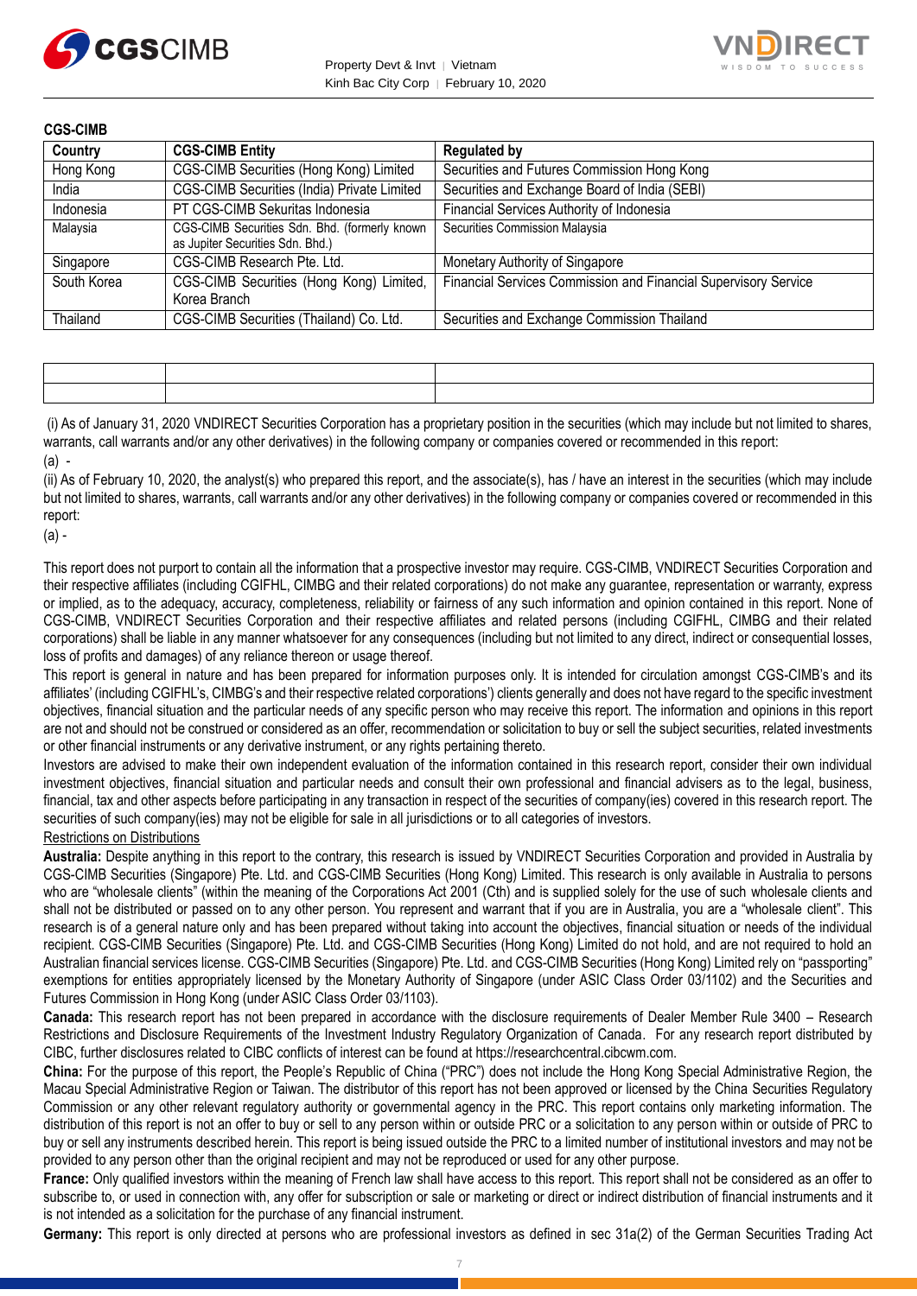



| <b>CGS-CIMB</b> |                                                                                   |                                                                 |
|-----------------|-----------------------------------------------------------------------------------|-----------------------------------------------------------------|
| Country         | <b>CGS-CIMB Entity</b>                                                            | <b>Regulated by</b>                                             |
| Hong Kong       | CGS-CIMB Securities (Hong Kong) Limited                                           | Securities and Futures Commission Hong Kong                     |
| India           | CGS-CIMB Securities (India) Private Limited                                       | Securities and Exchange Board of India (SEBI)                   |
| Indonesia       | PT CGS-CIMB Sekuritas Indonesia                                                   | Financial Services Authority of Indonesia                       |
| Malaysia        | CGS-CIMB Securities Sdn. Bhd. (formerly known<br>as Jupiter Securities Sdn. Bhd.) | Securities Commission Malaysia                                  |
| Singapore       | CGS-CIMB Research Pte. Ltd.                                                       | Monetary Authority of Singapore                                 |
| South Korea     | CGS-CIMB Securities (Hong Kong) Limited,<br>Korea Branch                          | Financial Services Commission and Financial Supervisory Service |
| Thailand        | CGS-CIMB Securities (Thailand) Co. Ltd.                                           | Securities and Exchange Commission Thailand                     |

(i) As of January 31, 2020 VNDIRECT Securities Corporation has a proprietary position in the securities (which may include but not limited to shares, warrants, call warrants and/or any other derivatives) in the following company or companies covered or recommended in this report:  $(a)$  -

(ii) As of February 10, 2020, the analyst(s) who prepared this report, and the associate(s), has / have an interest in the securities (which may include but not limited to shares, warrants, call warrants and/or any other derivatives) in the following company or companies covered or recommended in this report:

(a) -

This report does not purport to contain all the information that a prospective investor may require. CGS-CIMB, VNDIRECT Securities Corporation and their respective affiliates (including CGIFHL, CIMBG and their related corporations) do not make any guarantee, representation or warranty, express or implied, as to the adequacy, accuracy, completeness, reliability or fairness of any such information and opinion contained in this report. None of CGS-CIMB, VNDIRECT Securities Corporation and their respective affiliates and related persons (including CGIFHL, CIMBG and their related corporations) shall be liable in any manner whatsoever for any consequences (including but not limited to any direct, indirect or consequential losses, loss of profits and damages) of any reliance thereon or usage thereof.

This report is general in nature and has been prepared for information purposes only. It is intended for circulation amongst CGS-CIMB's and its affiliates' (including CGIFHL's, CIMBG's and their respective related corporations') clients generally and does not have regard to the specific investment objectives, financial situation and the particular needs of any specific person who may receive this report. The information and opinions in this report are not and should not be construed or considered as an offer, recommendation or solicitation to buy or sell the subject securities, related investments or other financial instruments or any derivative instrument, or any rights pertaining thereto.

Investors are advised to make their own independent evaluation of the information contained in this research report, consider their own individual investment objectives, financial situation and particular needs and consult their own professional and financial advisers as to the legal, business, financial, tax and other aspects before participating in any transaction in respect of the securities of company(ies) covered in this research report. The securities of such company(ies) may not be eligible for sale in all jurisdictions or to all categories of investors.

#### Restrictions on Distributions

**Australia:** Despite anything in this report to the contrary, this research is issued by VNDIRECT Securities Corporation and provided in Australia by CGS-CIMB Securities (Singapore) Pte. Ltd. and CGS-CIMB Securities (Hong Kong) Limited. This research is only available in Australia to persons who are "wholesale clients" (within the meaning of the Corporations Act 2001 (Cth) and is supplied solely for the use of such wholesale clients and shall not be distributed or passed on to any other person. You represent and warrant that if you are in Australia, you are a "wholesale client". This research is of a general nature only and has been prepared without taking into account the objectives, financial situation or needs of the individual recipient. CGS-CIMB Securities (Singapore) Pte. Ltd. and CGS-CIMB Securities (Hong Kong) Limited do not hold, and are not required to hold an Australian financial services license. CGS-CIMB Securities (Singapore) Pte. Ltd. and CGS-CIMB Securities (Hong Kong) Limited rely on "passporting" exemptions for entities appropriately licensed by the Monetary Authority of Singapore (under ASIC Class Order 03/1102) and the Securities and Futures Commission in Hong Kong (under ASIC Class Order 03/1103).

**Canada:** This research report has not been prepared in accordance with the disclosure requirements of Dealer Member Rule 3400 – Research Restrictions and Disclosure Requirements of the Investment Industry Regulatory Organization of Canada. For any research report distributed by CIBC, further disclosures related to CIBC conflicts of interest can be found at https://researchcentral.cibcwm.com.

**China:** For the purpose of this report, the People's Republic of China ("PRC") does not include the Hong Kong Special Administrative Region, the Macau Special Administrative Region or Taiwan. The distributor of this report has not been approved or licensed by the China Securities Regulatory Commission or any other relevant regulatory authority or governmental agency in the PRC. This report contains only marketing information. The distribution of this report is not an offer to buy or sell to any person within or outside PRC or a solicitation to any person within or outside of PRC to buy or sell any instruments described herein. This report is being issued outside the PRC to a limited number of institutional investors and may not be provided to any person other than the original recipient and may not be reproduced or used for any other purpose.

**France:** Only qualified investors within the meaning of French law shall have access to this report. This report shall not be considered as an offer to subscribe to, or used in connection with, any offer for subscription or sale or marketing or direct or indirect distribution of financial instruments and it is not intended as a solicitation for the purchase of any financial instrument.

**Germany:** This report is only directed at persons who are professional investors as defined in sec 31a(2) of the German Securities Trading Act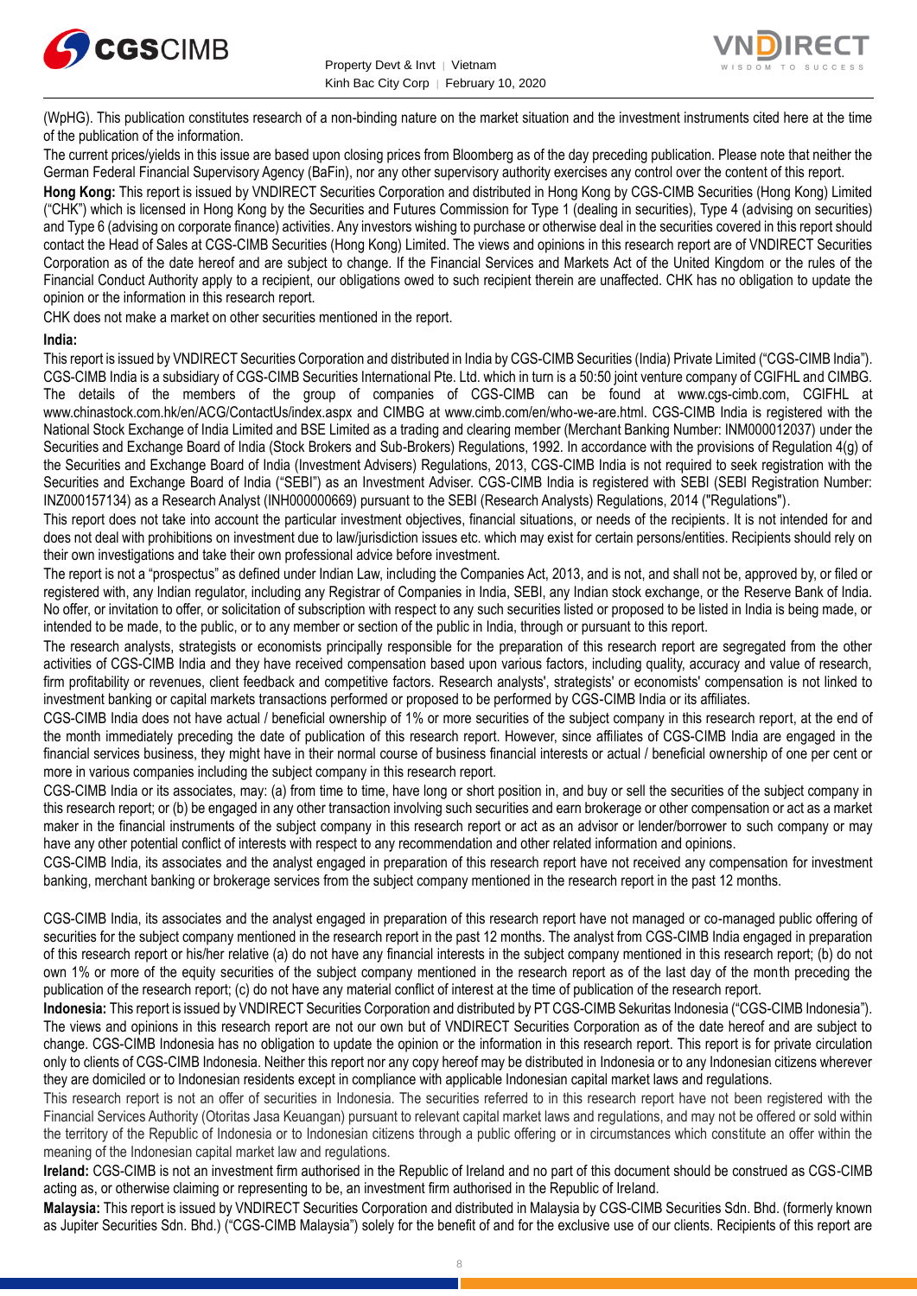



(WpHG). This publication constitutes research of a non-binding nature on the market situation and the investment instruments cited here at the time of the publication of the information.

The current prices/yields in this issue are based upon closing prices from Bloomberg as of the day preceding publication. Please note that neither the German Federal Financial Supervisory Agency (BaFin), nor any other supervisory authority exercises any control over the content of this report.

**Hong Kong:** This report is issued by VNDIRECT Securities Corporation and distributed in Hong Kong by CGS-CIMB Securities (Hong Kong) Limited ("CHK") which is licensed in Hong Kong by the Securities and Futures Commission for Type 1 (dealing in securities), Type 4 (advising on securities) and Type 6 (advising on corporate finance) activities. Any investors wishing to purchase or otherwise deal in the securities covered in this report should contact the Head of Sales at CGS-CIMB Securities (Hong Kong) Limited. The views and opinions in this research report are of VNDIRECT Securities Corporation as of the date hereof and are subject to change. If the Financial Services and Markets Act of the United Kingdom or the rules of the Financial Conduct Authority apply to a recipient, our obligations owed to such recipient therein are unaffected. CHK has no obligation to update the opinion or the information in this research report.

CHK does not make a market on other securities mentioned in the report.

#### **India:**

This report is issued by VNDIRECT Securities Corporation and distributed in India by CGS-CIMB Securities (India) Private Limited ("CGS-CIMB India"). CGS-CIMB India is a subsidiary of CGS-CIMB Securities International Pte. Ltd. which in turn is a 50:50 joint venture company of CGIFHL and CIMBG. The details of the members of the group of companies of CGS-CIMB can be found at www.cgs-cimb.com, CGIFHL at www.chinastock.com.hk/en/ACG/ContactUs/index.aspx and CIMBG at www.cimb.com/en/who-we-are.html. CGS-CIMB India is registered with the National Stock Exchange of India Limited and BSE Limited as a trading and clearing member (Merchant Banking Number: INM000012037) under the Securities and Exchange Board of India (Stock Brokers and Sub-Brokers) Regulations, 1992. In accordance with the provisions of Regulation 4(g) of the Securities and Exchange Board of India (Investment Advisers) Regulations, 2013, CGS-CIMB India is not required to seek registration with the Securities and Exchange Board of India ("SEBI") as an Investment Adviser. CGS-CIMB India is registered with SEBI (SEBI Registration Number: INZ000157134) as a Research Analyst (INH000000669) pursuant to the SEBI (Research Analysts) Regulations, 2014 ("Regulations").

This report does not take into account the particular investment objectives, financial situations, or needs of the recipients. It is not intended for and does not deal with prohibitions on investment due to law/jurisdiction issues etc. which may exist for certain persons/entities. Recipients should rely on their own investigations and take their own professional advice before investment.

The report is not a "prospectus" as defined under Indian Law, including the Companies Act, 2013, and is not, and shall not be, approved by, or filed or registered with, any Indian regulator, including any Registrar of Companies in India, SEBI, any Indian stock exchange, or the Reserve Bank of India. No offer, or invitation to offer, or solicitation of subscription with respect to any such securities listed or proposed to be listed in India is being made, or intended to be made, to the public, or to any member or section of the public in India, through or pursuant to this report.

The research analysts, strategists or economists principally responsible for the preparation of this research report are segregated from the other activities of CGS-CIMB India and they have received compensation based upon various factors, including quality, accuracy and value of research, firm profitability or revenues, client feedback and competitive factors. Research analysts', strategists' or economists' compensation is not linked to investment banking or capital markets transactions performed or proposed to be performed by CGS-CIMB India or its affiliates.

CGS-CIMB India does not have actual / beneficial ownership of 1% or more securities of the subject company in this research report, at the end of the month immediately preceding the date of publication of this research report. However, since affiliates of CGS-CIMB India are engaged in the financial services business, they might have in their normal course of business financial interests or actual / beneficial ownership of one per cent or more in various companies including the subject company in this research report.

CGS-CIMB India or its associates, may: (a) from time to time, have long or short position in, and buy or sell the securities of the subject company in this research report; or (b) be engaged in any other transaction involving such securities and earn brokerage or other compensation or act as a market maker in the financial instruments of the subject company in this research report or act as an advisor or lender/borrower to such company or may have any other potential conflict of interests with respect to any recommendation and other related information and opinions.

CGS-CIMB India, its associates and the analyst engaged in preparation of this research report have not received any compensation for investment banking, merchant banking or brokerage services from the subject company mentioned in the research report in the past 12 months.

CGS-CIMB India, its associates and the analyst engaged in preparation of this research report have not managed or co-managed public offering of securities for the subject company mentioned in the research report in the past 12 months. The analyst from CGS-CIMB India engaged in preparation of this research report or his/her relative (a) do not have any financial interests in the subject company mentioned in this research report; (b) do not own 1% or more of the equity securities of the subject company mentioned in the research report as of the last day of the month preceding the publication of the research report; (c) do not have any material conflict of interest at the time of publication of the research report.

**Indonesia:** This report is issued by VNDIRECT Securities Corporation and distributed by PT CGS-CIMB Sekuritas Indonesia ("CGS-CIMB Indonesia"). The views and opinions in this research report are not our own but of VNDIRECT Securities Corporation as of the date hereof and are subject to change. CGS-CIMB Indonesia has no obligation to update the opinion or the information in this research report. This report is for private circulation only to clients of CGS-CIMB Indonesia. Neither this report nor any copy hereof may be distributed in Indonesia or to any Indonesian citizens wherever they are domiciled or to Indonesian residents except in compliance with applicable Indonesian capital market laws and regulations.

This research report is not an offer of securities in Indonesia. The securities referred to in this research report have not been registered with the Financial Services Authority (Otoritas Jasa Keuangan) pursuant to relevant capital market laws and regulations, and may not be offered or sold within the territory of the Republic of Indonesia or to Indonesian citizens through a public offering or in circumstances which constitute an offer within the meaning of the Indonesian capital market law and regulations.

**Ireland:** CGS-CIMB is not an investment firm authorised in the Republic of Ireland and no part of this document should be construed as CGS-CIMB acting as, or otherwise claiming or representing to be, an investment firm authorised in the Republic of Ireland.

**Malaysia:** This report is issued by VNDIRECT Securities Corporation and distributed in Malaysia by CGS-CIMB Securities Sdn. Bhd. (formerly known as Jupiter Securities Sdn. Bhd.) ("CGS-CIMB Malaysia") solely for the benefit of and for the exclusive use of our clients. Recipients of this report are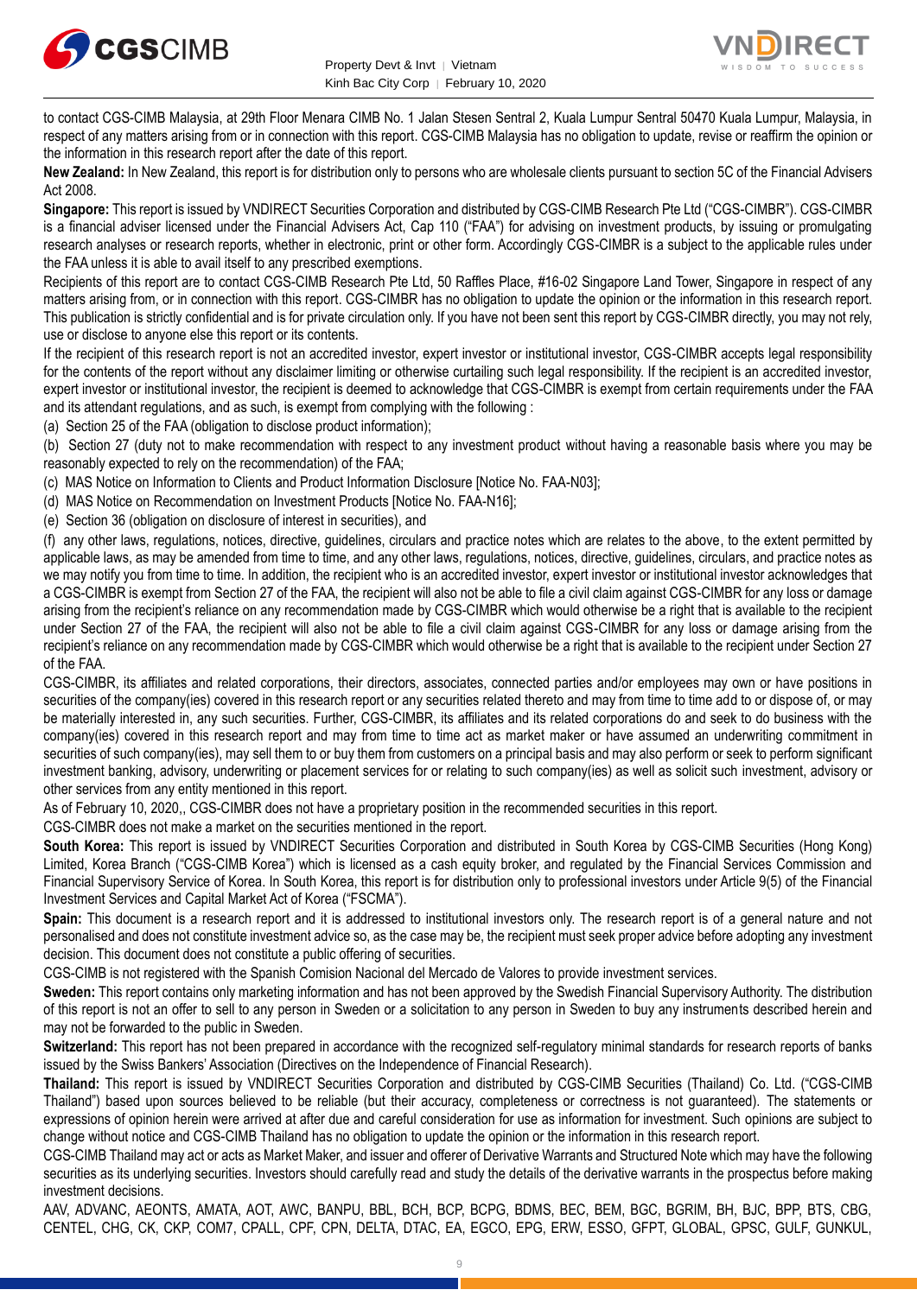



to contact CGS-CIMB Malaysia, at 29th Floor Menara CIMB No. 1 Jalan Stesen Sentral 2, Kuala Lumpur Sentral 50470 Kuala Lumpur, Malaysia, in respect of any matters arising from or in connection with this report. CGS-CIMB Malaysia has no obligation to update, revise or reaffirm the opinion or the information in this research report after the date of this report.

**New Zealand:** In New Zealand, this report is for distribution only to persons who are wholesale clients pursuant to section 5C of the Financial Advisers Act 2008.

**Singapore:** This report is issued by VNDIRECT Securities Corporation and distributed by CGS-CIMB Research Pte Ltd ("CGS-CIMBR"). CGS-CIMBR is a financial adviser licensed under the Financial Advisers Act, Cap 110 ("FAA") for advising on investment products, by issuing or promulgating research analyses or research reports, whether in electronic, print or other form. Accordingly CGS-CIMBR is a subject to the applicable rules under the FAA unless it is able to avail itself to any prescribed exemptions.

Recipients of this report are to contact CGS-CIMB Research Pte Ltd, 50 Raffles Place, #16-02 Singapore Land Tower, Singapore in respect of any matters arising from, or in connection with this report. CGS-CIMBR has no obligation to update the opinion or the information in this research report. This publication is strictly confidential and is for private circulation only. If you have not been sent this report by CGS-CIMBR directly, you may not rely, use or disclose to anyone else this report or its contents.

If the recipient of this research report is not an accredited investor, expert investor or institutional investor, CGS-CIMBR accepts legal responsibility for the contents of the report without any disclaimer limiting or otherwise curtailing such legal responsibility. If the recipient is an accredited investor, expert investor or institutional investor, the recipient is deemed to acknowledge that CGS-CIMBR is exempt from certain requirements under the FAA and its attendant regulations, and as such, is exempt from complying with the following :

(a) Section 25 of the FAA (obligation to disclose product information);

(b) Section 27 (duty not to make recommendation with respect to any investment product without having a reasonable basis where you may be reasonably expected to rely on the recommendation) of the FAA;

(c) MAS Notice on Information to Clients and Product Information Disclosure [Notice No. FAA-N03];

(d) MAS Notice on Recommendation on Investment Products [Notice No. FAA-N16];

(e) Section 36 (obligation on disclosure of interest in securities), and

(f) any other laws, regulations, notices, directive, guidelines, circulars and practice notes which are relates to the above, to the extent permitted by applicable laws, as may be amended from time to time, and any other laws, regulations, notices, directive, guidelines, circulars, and practice notes as we may notify you from time to time. In addition, the recipient who is an accredited investor, expert investor or institutional investor acknowledges that a CGS-CIMBR is exempt from Section 27 of the FAA, the recipient will also not be able to file a civil claim against CGS-CIMBR for any loss or damage arising from the recipient's reliance on any recommendation made by CGS-CIMBR which would otherwise be a right that is available to the recipient under Section 27 of the FAA, the recipient will also not be able to file a civil claim against CGS-CIMBR for any loss or damage arising from the recipient's reliance on any recommendation made by CGS-CIMBR which would otherwise be a right that is available to the recipient under Section 27 of the FAA.

CGS-CIMBR, its affiliates and related corporations, their directors, associates, connected parties and/or employees may own or have positions in securities of the company(ies) covered in this research report or any securities related thereto and may from time to time add to or dispose of, or may be materially interested in, any such securities. Further, CGS-CIMBR, its affiliates and its related corporations do and seek to do business with the company(ies) covered in this research report and may from time to time act as market maker or have assumed an underwriting commitment in securities of such company(ies), may sell them to or buy them from customers on a principal basis and may also perform or seek to perform significant investment banking, advisory, underwriting or placement services for or relating to such company(ies) as well as solicit such investment, advisory or other services from any entity mentioned in this report.

As of February 10, 2020,, CGS-CIMBR does not have a proprietary position in the recommended securities in this report.

CGS-CIMBR does not make a market on the securities mentioned in the report.

**South Korea:** This report is issued by VNDIRECT Securities Corporation and distributed in South Korea by CGS-CIMB Securities (Hong Kong) Limited, Korea Branch ("CGS-CIMB Korea") which is licensed as a cash equity broker, and regulated by the Financial Services Commission and Financial Supervisory Service of Korea. In South Korea, this report is for distribution only to professional investors under Article 9(5) of the Financial Investment Services and Capital Market Act of Korea ("FSCMA").

**Spain:** This document is a research report and it is addressed to institutional investors only. The research report is of a general nature and not personalised and does not constitute investment advice so, as the case may be, the recipient must seek proper advice before adopting any investment decision. This document does not constitute a public offering of securities.

CGS-CIMB is not registered with the Spanish Comision Nacional del Mercado de Valores to provide investment services.

**Sweden:** This report contains only marketing information and has not been approved by the Swedish Financial Supervisory Authority. The distribution of this report is not an offer to sell to any person in Sweden or a solicitation to any person in Sweden to buy any instruments described herein and may not be forwarded to the public in Sweden.

**Switzerland:** This report has not been prepared in accordance with the recognized self-regulatory minimal standards for research reports of banks issued by the Swiss Bankers' Association (Directives on the Independence of Financial Research).

**Thailand:** This report is issued by VNDIRECT Securities Corporation and distributed by CGS-CIMB Securities (Thailand) Co. Ltd. ("CGS-CIMB Thailand") based upon sources believed to be reliable (but their accuracy, completeness or correctness is not guaranteed). The statements or expressions of opinion herein were arrived at after due and careful consideration for use as information for investment. Such opinions are subject to change without notice and CGS-CIMB Thailand has no obligation to update the opinion or the information in this research report.

CGS-CIMB Thailand may act or acts as Market Maker, and issuer and offerer of Derivative Warrants and Structured Note which may have the following securities as its underlying securities. Investors should carefully read and study the details of the derivative warrants in the prospectus before making investment decisions.

AAV, ADVANC, AEONTS, AMATA, AOT, AWC, BANPU, BBL, BCH, BCP, BCPG, BDMS, BEC, BEM, BGC, BGRIM, BH, BJC, BPP, BTS, CBG, CENTEL, CHG, CK, CKP, COM7, CPALL, CPF, CPN, DELTA, DTAC, EA, EGCO, EPG, ERW, ESSO, GFPT, GLOBAL, GPSC, GULF, GUNKUL,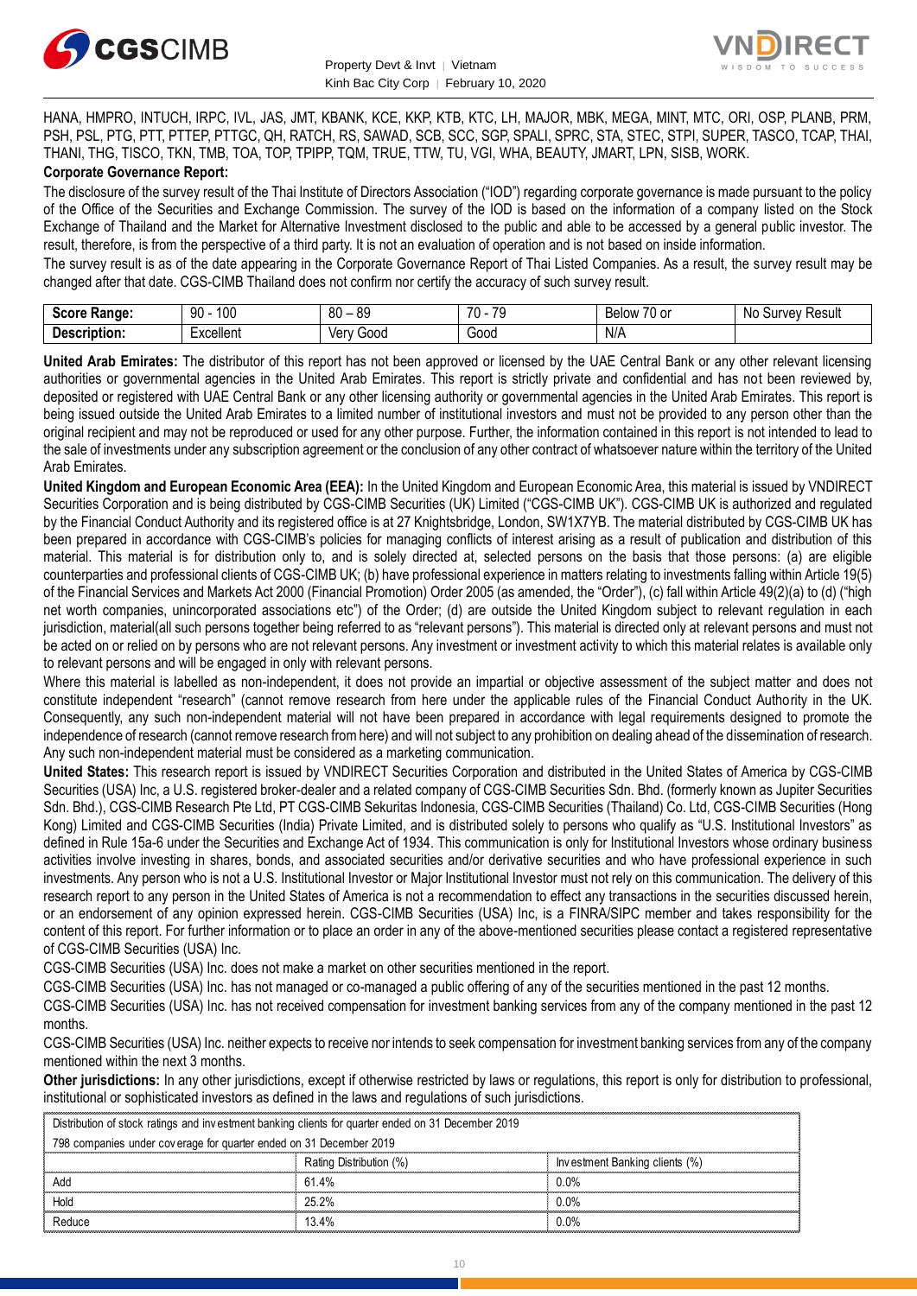



HANA, HMPRO, INTUCH, IRPC, IVL, JAS, JMT, KBANK, KCE, KKP, KTB, KTC, LH, MAJOR, MBK, MEGA, MINT, MTC, ORI, OSP, PLANB, PRM, PSH, PSL, PTG, PTT, PTTEP, PTTGC, QH, RATCH, RS, SAWAD, SCB, SCC, SGP, SPALI, SPRC, STA, STEC, STPI, SUPER, TASCO, TCAP, THAI, THANI, THG, TISCO, TKN, TMB, TOA, TOP, TPIPP, TQM, TRUE, TTW, TU, VGI, WHA, BEAUTY, JMART, LPN, SISB, WORK. **Corporate Governance Report:**

The disclosure of the survey result of the Thai Institute of Directors Association ("IOD") regarding corporate governance is made pursuant to the policy of the Office of the Securities and Exchange Commission. The survey of the IOD is based on the information of a company listed on the Stock Exchange of Thailand and the Market for Alternative Investment disclosed to the public and able to be accessed by a general public investor. The result, therefore, is from the perspective of a third party. It is not an evaluation of operation and is not based on inside information.

The survey result is as of the date appearing in the Corporate Governance Report of Thai Listed Companies. As a result, the survey result may be changed after that date. CGS-CIMB Thailand does not confirm nor certify the accuracy of such survey result.

| Score .<br>Range: | 100<br>90      | RΛ<br>89<br>-<br>υv | 70<br>70<br>. . | $-$<br>Below<br>$\sim$<br>ט ו<br>וש              | N0<br>Result<br>Jurve∨ |
|-------------------|----------------|---------------------|-----------------|--------------------------------------------------|------------------------|
| -<br>Description: | :xcellent<br>. | Verv<br>000ز        | Good<br>.       | N/A<br>$\sim$ $\sim$ $\sim$ $\sim$ $\sim$ $\sim$ |                        |

**United Arab Emirates:** The distributor of this report has not been approved or licensed by the UAE Central Bank or any other relevant licensing authorities or governmental agencies in the United Arab Emirates. This report is strictly private and confidential and has not been reviewed by, deposited or registered with UAE Central Bank or any other licensing authority or governmental agencies in the United Arab Emirates. This report is being issued outside the United Arab Emirates to a limited number of institutional investors and must not be provided to any person other than the original recipient and may not be reproduced or used for any other purpose. Further, the information contained in this report is not intended to lead to the sale of investments under any subscription agreement or the conclusion of any other contract of whatsoever nature within the territory of the United Arab Emirates.

**United Kingdom and European Economic Area (EEA):** In the United Kingdom and European Economic Area, this material is issued by VNDIRECT Securities Corporation and is being distributed by CGS-CIMB Securities (UK) Limited ("CGS-CIMB UK"). CGS-CIMB UK is authorized and regulated by the Financial Conduct Authority and its registered office is at 27 Knightsbridge, London, SW1X7YB. The material distributed by CGS-CIMB UK has been prepared in accordance with CGS-CIMB's policies for managing conflicts of interest arising as a result of publication and distribution of this material. This material is for distribution only to, and is solely directed at, selected persons on the basis that those persons: (a) are eligible counterparties and professional clients of CGS-CIMB UK; (b) have professional experience in matters relating to investments falling within Article 19(5) of the Financial Services and Markets Act 2000 (Financial Promotion) Order 2005 (as amended, the "Order"), (c) fall within Article 49(2)(a) to (d) ("high net worth companies, unincorporated associations etc") of the Order; (d) are outside the United Kingdom subject to relevant regulation in each jurisdiction, material(all such persons together being referred to as "relevant persons"). This material is directed only at relevant persons and must not be acted on or relied on by persons who are not relevant persons. Any investment or investment activity to which this material relates is available only to relevant persons and will be engaged in only with relevant persons.

Where this material is labelled as non-independent, it does not provide an impartial or objective assessment of the subject matter and does not constitute independent "research" (cannot remove research from here under the applicable rules of the Financial Conduct Authority in the UK. Consequently, any such non-independent material will not have been prepared in accordance with legal requirements designed to promote the independence of research (cannot remove research from here) and will not subject to any prohibition on dealing ahead of the dissemination of research. Any such non-independent material must be considered as a marketing communication.

**United States:** This research report is issued by VNDIRECT Securities Corporation and distributed in the United States of America by CGS-CIMB Securities (USA) Inc, a U.S. registered broker-dealer and a related company of CGS-CIMB Securities Sdn. Bhd. (formerly known as Jupiter Securities Sdn. Bhd.), CGS-CIMB Research Pte Ltd, PT CGS-CIMB Sekuritas Indonesia, CGS-CIMB Securities (Thailand) Co. Ltd, CGS-CIMB Securities (Hong Kong) Limited and CGS-CIMB Securities (India) Private Limited, and is distributed solely to persons who qualify as "U.S. Institutional Investors" as defined in Rule 15a-6 under the Securities and Exchange Act of 1934. This communication is only for Institutional Investors whose ordinary business activities involve investing in shares, bonds, and associated securities and/or derivative securities and who have professional experience in such investments. Any person who is not a U.S. Institutional Investor or Major Institutional Investor must not rely on this communication. The delivery of this research report to any person in the United States of America is not a recommendation to effect any transactions in the securities discussed herein, or an endorsement of any opinion expressed herein. CGS-CIMB Securities (USA) Inc, is a FINRA/SIPC member and takes responsibility for the content of this report. For further information or to place an order in any of the above-mentioned securities please contact a registered representative of CGS-CIMB Securities (USA) Inc.

CGS-CIMB Securities (USA) Inc. does not make a market on other securities mentioned in the report.

CGS-CIMB Securities (USA) Inc. has not managed or co-managed a public offering of any of the securities mentioned in the past 12 months.

CGS-CIMB Securities (USA) Inc. has not received compensation for investment banking services from any of the company mentioned in the past 12 months.

CGS-CIMB Securities (USA) Inc. neither expects to receive nor intends to seek compensation for investment banking services from any of the company mentioned within the next 3 months.

**Other jurisdictions:** In any other jurisdictions, except if otherwise restricted by laws or regulations, this report is only for distribution to professional, institutional or sophisticated investors as defined in the laws and regulations of such jurisdictions. entioned within the next 3 months.<br> **ther jurisdictions:** In any other jurisdictions, except if otherwise restricted by laws<br>
stitutional or sophisticated investors as defined in the laws and regulations of such j<br>
Distrib

| <b>Other jurisdictions:</b> In any other jurisdictions, except if otherwise restricted by laws or regulations, this report is only for distribution to<br>institutional or sophisticated investors as defined in the laws and regulations of such jurisdictions. |                         |                                |  |  |  |  |
|------------------------------------------------------------------------------------------------------------------------------------------------------------------------------------------------------------------------------------------------------------------|-------------------------|--------------------------------|--|--|--|--|
|                                                                                                                                                                                                                                                                  |                         |                                |  |  |  |  |
| Distribution of stock ratings and investment banking clients for quarter ended on 31 December 2019                                                                                                                                                               |                         |                                |  |  |  |  |
| 798 companies under coverage for quarter ended on 31 December 2019                                                                                                                                                                                               |                         |                                |  |  |  |  |
|                                                                                                                                                                                                                                                                  | Rating Distribution (%) | Investment Banking clients (%) |  |  |  |  |
| Add                                                                                                                                                                                                                                                              | 61.4%                   | $0.0\%$                        |  |  |  |  |
| Hold                                                                                                                                                                                                                                                             | 25.2%                   | $0.0\%$                        |  |  |  |  |
| Reduce                                                                                                                                                                                                                                                           | 13.4%                   | $0.0\%$                        |  |  |  |  |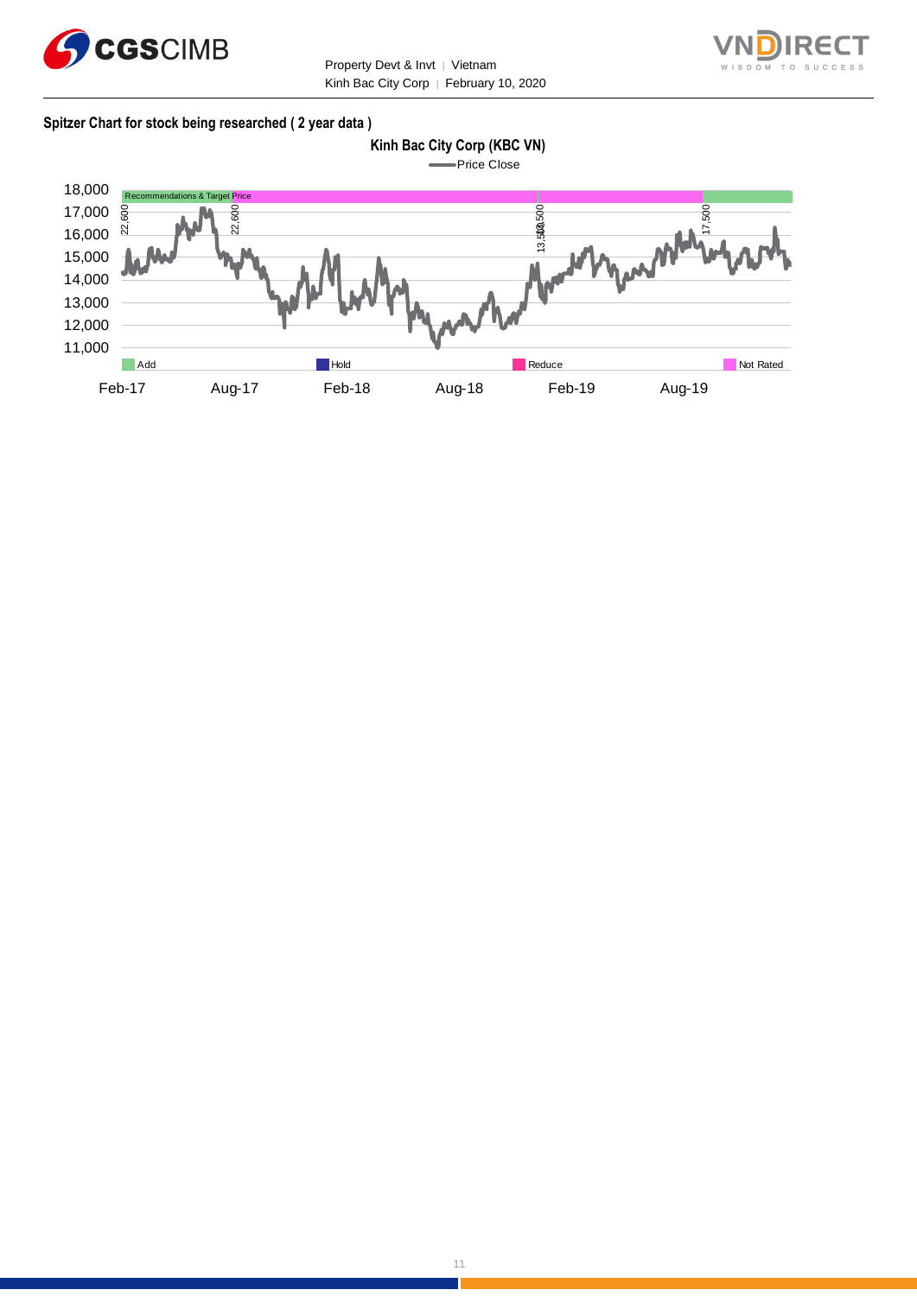



#### **Spitzer Chart for stock being researched ( 2 year data )**

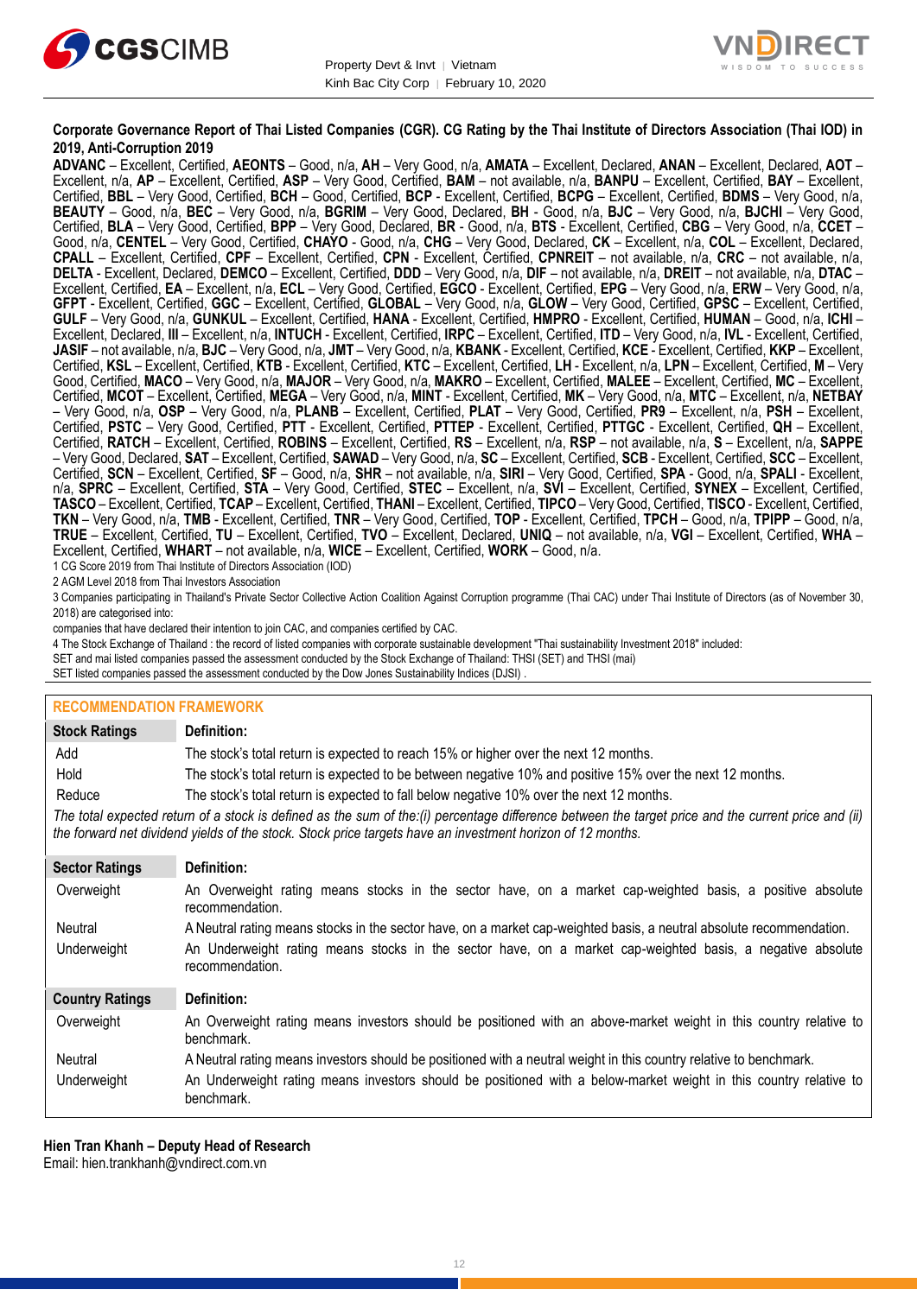



#### **Corporate Governance Report of Thai Listed Companies (CGR). CG Rating by the Thai Institute of Directors Association (Thai IOD) in 2019, Anti-Corruption 2019**

**ADVANC** – Excellent, Certified, **AEONTS** – Good, n/a, **AH** – Very Good, n/a, **AMATA** – Excellent, Declared, **ANAN** – Excellent, Declared, **AOT** – Excellent, n/a, **AP** – Excellent, Certified, **ASP** – Very Good, Certified, **BAM** – not available, n/a, **BANPU** – Excellent, Certified, **BAY** – Excellent, Certified, **BBL** – Very Good, Certified, **BCH** – Good, Certified, **BCP** - Excellent, Certified, **BCPG** – Excellent, Certified, **BDMS** – Very Good, n/a, **BEAUTY** – Good, n/a, **BEC** – Very Good, n/a, **BGRIM** – Very Good, Declared, **BH** - Good, n/a, **BJC** – Very Good, n/a, **BJCHI** – Very Good, Certified, **BLA** – Very Good, Certified, **BPP** – Very Good, Declared, **BR** - Good, n/a, **BTS** - Excellent, Certified, **CBG** – Very Good, n/a, **CCET** – Good, n/a, **CENTEL** – Very Good, Certified, **CHAYO** - Good, n/a, **CHG** – Very Good, Declared, **CK** – Excellent, n/a, **COL** – Excellent, Declared, **CPALL** – Excellent, Certified, **CPF** – Excellent, Certified, **CPN** - Excellent, Certified, **CPNREIT** – not available, n/a, **CRC** – not available, n/a, **DELTA** - Excellent, Declared, **DEMCO** – Excellent, Certified, **DDD** – Very Good, n/a, **DIF** – not available, n/a, **DREIT** – not available, n/a, **DTAC** – Excellent, Certified, **EA** – Excellent, n/a, **ECL** – Very Good, Certified, **EGCO** - Excellent, Certified, **EPG** – Very Good, n/a, **ERW** – Very Good, n/a, **GFPT** - Excellent, Certified, **GGC** – Excellent, Certified, **GLOBAL** – Very Good, n/a, **GLOW** – Very Good, Certified, **GPSC** – Excellent, Certified, **GULF** – Very Good, n/a, **GUNKUL** – Excellent, Certified, **HANA** - Excellent, Certified, **HMPRO** - Excellent, Certified, **HUMAN** – Good, n/a, **ICHI** – Excellent, Declared, **III** – Excellent, n/a, **INTUCH** - Excellent, Certified, **IRPC** – Excellent, Certified, **ITD** – Very Good, n/a, **IVL** - Excellent, Certified, **JASIF** – not available, n/a, **BJC** – Very Good, n/a, **JMT** – Very Good, n/a, **KBANK** - Excellent, Certified, **KCE** - Excellent, Certified, **KKP** – Excellent, Certified, **KSL** – Excellent, Certified, **KTB** - Excellent, Certified, **KTC** – Excellent, Certified, **LH** - Excellent, n/a, **LPN** – Excellent, Certified, **M** – Very Good, Certified, **MACO** – Very Good, n/a, **MAJOR** – Very Good, n/a, **MAKRO** – Excellent, Certified, **MALEE** – Excellent, Certified, **MC** – Excellent, Certified, **MCOT** – Excellent, Certified, **MEGA** – Very Good, n/a, **MINT** - Excellent, Certified, **MK** – Very Good, n/a, **MTC** – Excellent, n/a, **NETBAY** – Very Good, n/a, **OSP** – Very Good, n/a, **PLANB** – Excellent, Certified, **PLAT** – Very Good, Certified, **PR9** – Excellent, n/a, **PSH** – Excellent, Certified, **PSTC** – Very Good, Certified, **PTT** - Excellent, Certified, **PTTEP** - Excellent, Certified, **PTTGC** - Excellent, Certified, **QH** – Excellent, Certified, **RATCH** – Excellent, Certified, **ROBINS** – Excellent, Certified, **RS** – Excellent, n/a, **RSP** – not available, n/a, **S** – Excellent, n/a, **SAPPE** – Very Good, Declared, **SAT** – Excellent, Certified, **SAWAD** – Very Good, n/a, **SC** – Excellent, Certified, **SCB** - Excellent, Certified, **SCC** – Excellent, Certified, **SCN** – Excellent, Certified, **SF** – Good, n/a, **SHR** – not available, n/a, **SIRI** – Very Good, Certified, **SPA** - Good, n/a, **SPALI** - Excellent, n/a, **SPRC** – Excellent, Certified, **STA** – Very Good, Certified, **STEC** – Excellent, n/a, **SVI** – Excellent, Certified, **SYNEX** – Excellent, Certified, **TASCO** – Excellent, Certified, **TCAP** – Excellent, Certified, **THANI** – Excellent, Certified, **TIPCO** – Very Good, Certified, **TISCO** - Excellent, Certified, **TKN** – Very Good, n/a, **TMB** - Excellent, Certified, **TNR** – Very Good, Certified, **TOP** - Excellent, Certified, **TPCH** – Good, n/a, **TPIPP** – Good, n/a, **TRUE** – Excellent, Certified, **TU** – Excellent, Certified, **TVO** – Excellent, Declared, **UNIQ** – not available, n/a, **VGI** – Excellent, Certified, **WHA** – Excellent, Certified, **WHART** – not available, n/a, **WICE** – Excellent, Certified, **WORK** – Good, n/a.

1 CG Score 2019 from Thai Institute of Directors Association (IOD)

2 AGM Level 2018 from Thai Investors Association

3 Companies participating in Thailand's Private Sector Collective Action Coalition Against Corruption programme (Thai CAC) under Thai Institute of Directors (as of November 30, 2018) are categorised into:

companies that have declared their intention to join CAC, and companies certified by CAC.

- 4 [The Stock Exchange of Thailand : the record of listed companies with corporate sustainable development "Thai sustainability Investment 2018" included:](http://www.set.or.th/sustainable_dev/en/sr/sri/tsi_p1.html)
- SET and mai listed companies passed the assessment conducted by the Stock Exchange of Thailand: THSI (SET) and THSI (mai)
- SET listed companies passed the assessment conducted by the Dow Jones Sustainability Indices (DJSI)

| <b>RECOMMENDATION FRAMEWORK</b>                                                                                                                                                                                                                                   |                                                                                                                                 |  |  |  |
|-------------------------------------------------------------------------------------------------------------------------------------------------------------------------------------------------------------------------------------------------------------------|---------------------------------------------------------------------------------------------------------------------------------|--|--|--|
| <b>Stock Ratings</b>                                                                                                                                                                                                                                              | Definition:                                                                                                                     |  |  |  |
| Add                                                                                                                                                                                                                                                               | The stock's total return is expected to reach 15% or higher over the next 12 months.                                            |  |  |  |
| Hold                                                                                                                                                                                                                                                              | The stock's total return is expected to be between negative 10% and positive 15% over the next 12 months.                       |  |  |  |
| Reduce                                                                                                                                                                                                                                                            | The stock's total return is expected to fall below negative 10% over the next 12 months.                                        |  |  |  |
| The total expected return of a stock is defined as the sum of the:(i) percentage difference between the target price and the current price and (ii)<br>the forward net dividend yields of the stock. Stock price targets have an investment horizon of 12 months. |                                                                                                                                 |  |  |  |
| <b>Sector Ratings</b>                                                                                                                                                                                                                                             | Definition:                                                                                                                     |  |  |  |
| Overweight                                                                                                                                                                                                                                                        | An Overweight rating means stocks in the sector have, on a market cap-weighted basis, a positive absolute<br>recommendation.    |  |  |  |
| Neutral                                                                                                                                                                                                                                                           | A Neutral rating means stocks in the sector have, on a market cap-weighted basis, a neutral absolute recommendation.            |  |  |  |
| Underweight                                                                                                                                                                                                                                                       | An Underweight rating means stocks in the sector have, on a market cap-weighted basis, a negative absolute<br>recommendation.   |  |  |  |
| <b>Country Ratings</b>                                                                                                                                                                                                                                            | Definition:                                                                                                                     |  |  |  |
| Overweight                                                                                                                                                                                                                                                        | An Overweight rating means investors should be positioned with an above-market weight in this country relative to<br>benchmark. |  |  |  |
| Neutral                                                                                                                                                                                                                                                           | A Neutral rating means investors should be positioned with a neutral weight in this country relative to benchmark.              |  |  |  |
| Underweight                                                                                                                                                                                                                                                       | An Underweight rating means investors should be positioned with a below-market weight in this country relative to<br>benchmark. |  |  |  |

**Hien Tran Khanh – Deputy Head of Research**

Email: [hien.trankhanh@vndirect.com.vn](mailto:hien.trankhanh@vndirect.com.vn)